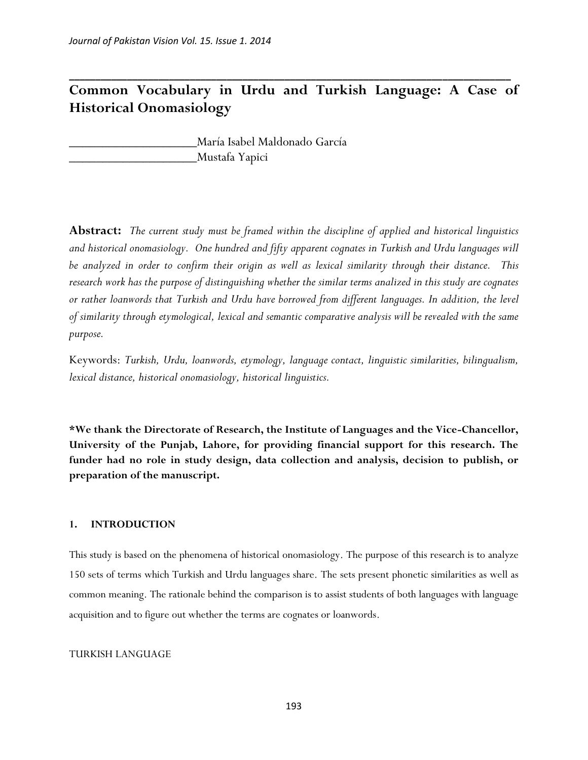# **Common Vocabulary in Urdu and Turkish Language: A Case of Historical Onomasiology**

**\_\_\_\_\_\_\_\_\_\_\_\_\_\_\_\_\_\_\_\_\_\_\_\_\_\_\_\_\_\_\_\_\_\_\_\_\_\_\_\_\_\_\_\_\_\_\_\_\_\_\_\_\_\_\_\_\_\_\_\_\_\_\_\_\_\_\_\_\_\_\_\_\_\_\_\_\_\_\_\_\_\_\_\_**

\_\_\_\_\_\_\_\_\_\_\_\_\_\_\_\_\_\_\_María Isabel Maldonado García \_\_\_\_\_\_\_\_\_\_\_\_\_\_\_\_\_\_\_Mustafa Yapici

**Abstract:** *The current study must be framed within the discipline of applied and historical linguistics and historical onomasiology. One hundred and fifty apparent cognates in Turkish and Urdu languages will be analyzed in order to confirm their origin as well as lexical similarity through their distance. This research work has the purpose of distinguishing whether the similar terms analized in this study are cognates or rather loanwords that Turkish and Urdu have borrowed from different languages. In addition, the level of similarity through etymological, lexical and semantic comparative analysis will be revealed with the same purpose.* 

Keywords: *Turkish, Urdu, loanwords, etymology, language contact, linguistic similarities, bilingualism, lexical distance, historical onomasiology, historical linguistics.*

**\*We thank the Directorate of Research, the Institute of Languages and the Vice-Chancellor, University of the Punjab, Lahore, for providing financial support for this research. The funder had no role in study design, data collection and analysis, decision to publish, or preparation of the manuscript.** 

#### **1. INTRODUCTION**

This study is based on the phenomena of historical onomasiology. The purpose of this research is to analyze 150 sets of terms which Turkish and Urdu languages share. The sets present phonetic similarities as well as common meaning. The rationale behind the comparison is to assist students of both languages with language acquisition and to figure out whether the terms are cognates or loanwords.

#### TURKISH LANGUAGE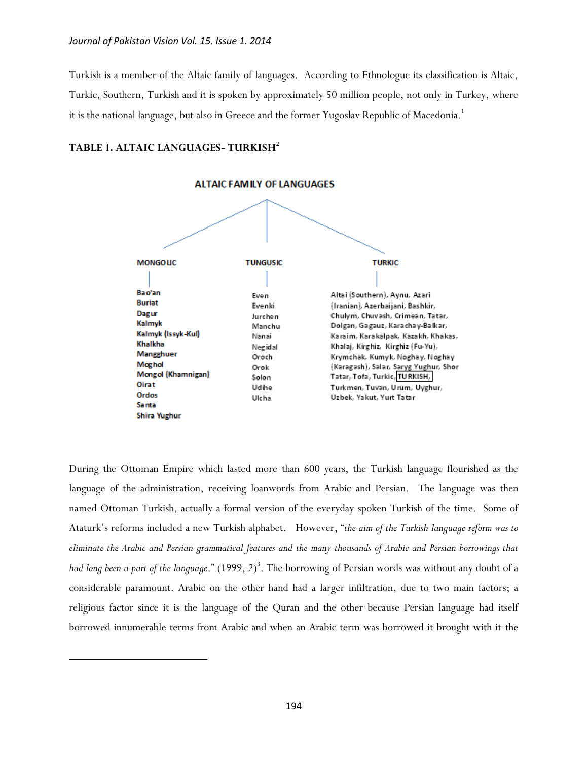Turkish is a member of the Altaic family of languages. According to Ethnologue its classification is Altaic, Turkic, Southern, Turkish and it is spoken by approximately 50 million people, not only in Turkey, where it is the national language, but also in Greece and the former Yugoslav Republic of Macedonia.<sup>1</sup>

#### **TABLE 1. ALTAIC LANGUAGES- TURKISH<sup>2</sup>**

 $\overline{a}$ 



During the Ottoman Empire which lasted more than 600 years, the Turkish language flourished as the language of the administration, receiving loanwords from Arabic and Persian. The language was then named Ottoman Turkish, actually a formal version of the everyday spoken Turkish of the time. Some of Ataturk's reforms included a new Turkish alphabet. However, "*the aim of the Turkish language reform was to eliminate the Arabic and Persian grammatical features and the many thousands of Arabic and Persian borrowings that*  h*ad long been a part of the language*." (1999, 2)<sup>3</sup>. The borrowing of Persian words was without any doubt of a considerable paramount. Arabic on the other hand had a larger infiltration, due to two main factors; a religious factor since it is the language of the Quran and the other because Persian language had itself borrowed innumerable terms from Arabic and when an Arabic term was borrowed it brought with it the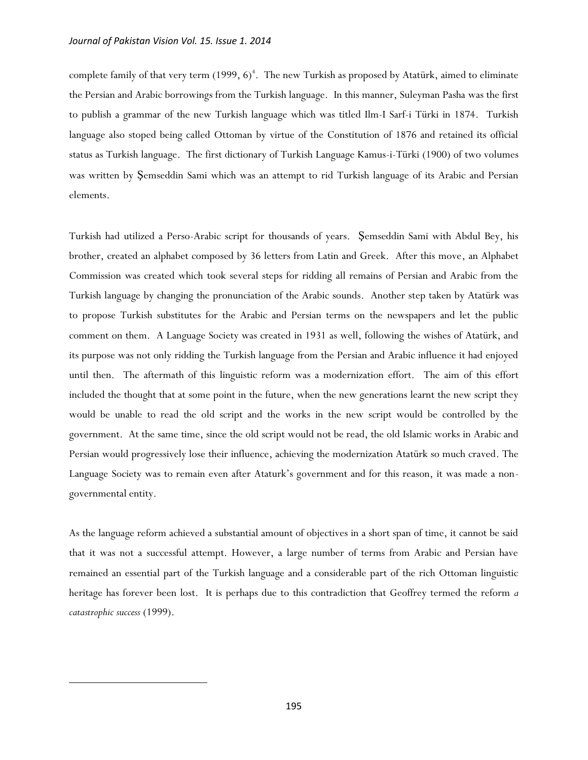complete family of that very term (1999,  $6)^4$ . The new Turkish as proposed by Atatürk, aimed to eliminate the Persian and Arabic borrowings from the Turkish language. In this manner, Suleyman Pasha was the first to publish a grammar of the new Turkish language which was titled Ilm-I Sarf-i Türki in 1874. Turkish language also stoped being called Ottoman by virtue of the Constitution of 1876 and retained its official status as Turkish language. The first dictionary of Turkish Language Kamus-i-Türki (1900) of two volumes was written by Şemseddin Sami which was an attempt to rid Turkish language of its Arabic and Persian elements.

Turkish had utilized a Perso-Arabic script for thousands of years. Şemseddin Sami with Abdul Bey, his brother, created an alphabet composed by 36 letters from Latin and Greek. After this move, an Alphabet Commission was created which took several steps for ridding all remains of Persian and Arabic from the Turkish language by changing the pronunciation of the Arabic sounds. Another step taken by Atatürk was to propose Turkish substitutes for the Arabic and Persian terms on the newspapers and let the public comment on them. A Language Society was created in 1931 as well, following the wishes of Atatürk, and its purpose was not only ridding the Turkish language from the Persian and Arabic influence it had enjoyed until then. The aftermath of this linguistic reform was a modernization effort. The aim of this effort included the thought that at some point in the future, when the new generations learnt the new script they would be unable to read the old script and the works in the new script would be controlled by the government. At the same time, since the old script would not be read, the old Islamic works in Arabic and Persian would progressively lose their influence, achieving the modernization Atatürk so much craved. The Language Society was to remain even after Ataturk's government and for this reason, it was made a nongovernmental entity.

As the language reform achieved a substantial amount of objectives in a short span of time, it cannot be said that it was not a successful attempt. However, a large number of terms from Arabic and Persian have remained an essential part of the Turkish language and a considerable part of the rich Ottoman linguistic heritage has forever been lost. It is perhaps due to this contradiction that Geoffrey termed the reform *a catastrophic success* (1999).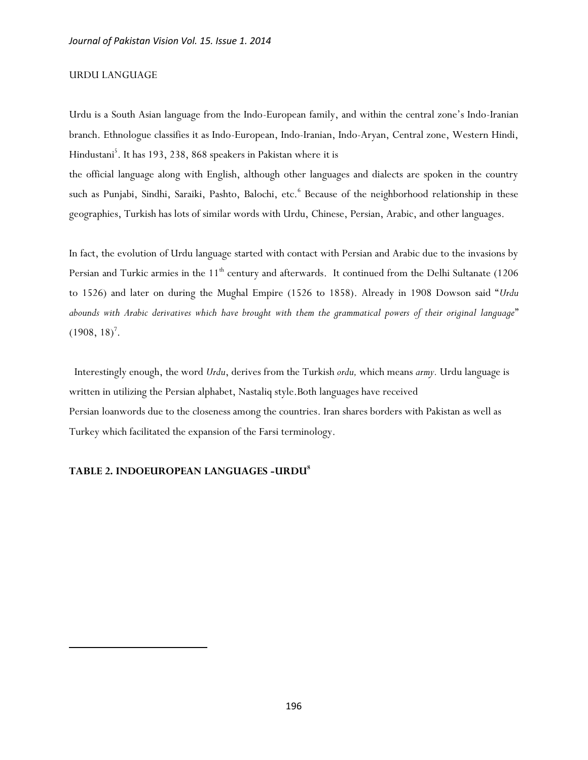#### URDU LANGUAGE

Urdu is a South Asian language from the Indo-European family, and within the central zone's Indo-Iranian branch. Ethnologue classifies it as Indo-European, Indo-Iranian, Indo-Aryan, Central zone, Western Hindi, Hindustani<sup>5</sup>. It has 193, 238, 868 speakers in Pakistan where it is

the official language along with English, although other languages and dialects are spoken in the country such as Punjabi, Sindhi, Saraiki, Pashto, Balochi, etc.<sup>6</sup> Because of the neighborhood relationship in these geographies, Turkish has lots of similar words with Urdu, Chinese, Persian, Arabic, and other languages.

In fact, the evolution of Urdu language started with contact with Persian and Arabic due to the invasions by Persian and Turkic armies in the  $11<sup>th</sup>$  century and afterwards. It continued from the Delhi Sultanate (1206 to 1526) and later on during the Mughal Empire (1526 to 1858). Already in 1908 Dowson said "*Urdu abounds with Arabic derivatives which have brought with them the grammatical powers of their original language*"  $(1908, 18)^7$ .

 Interestingly enough, the word *Urdu*, derives from the Turkish *ordu,* which means *army.* Urdu language is written in utilizing the Persian alphabet, Nastaliq style.Both languages have received Persian loanwords due to the closeness among the countries. Iran shares borders with Pakistan as well as Turkey which facilitated the expansion of the Farsi terminology.

#### **TABLE 2. INDOEUROPEAN LANGUAGES -URDU<sup>8</sup>**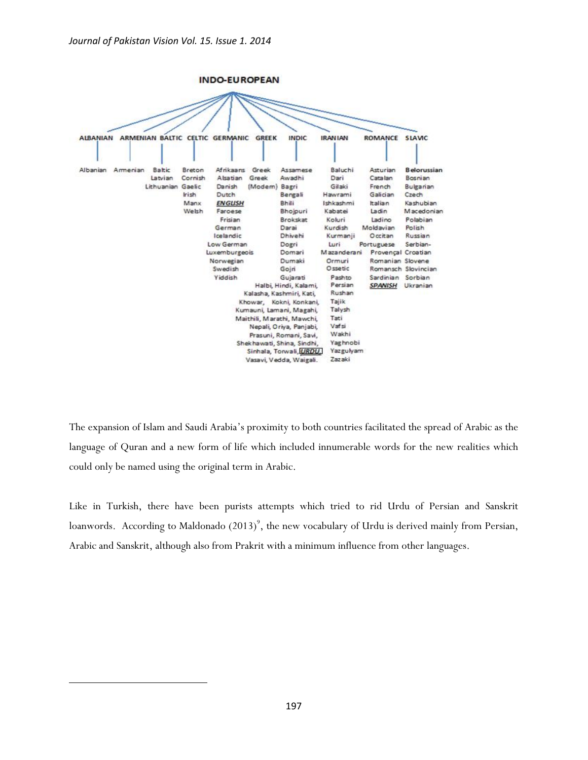

The expansion of Islam and Saudi Arabia's proximity to both countries facilitated the spread of Arabic as the language of Quran and a new form of life which included innumerable words for the new realities which could only be named using the original term in Arabic.

Like in Turkish, there have been purists attempts which tried to rid Urdu of Persian and Sanskrit loanwords. According to Maldonado (2013)<sup>9</sup>, the new vocabulary of Urdu is derived mainly from Persian, Arabic and Sanskrit, although also from Prakrit with a minimum influence from other languages.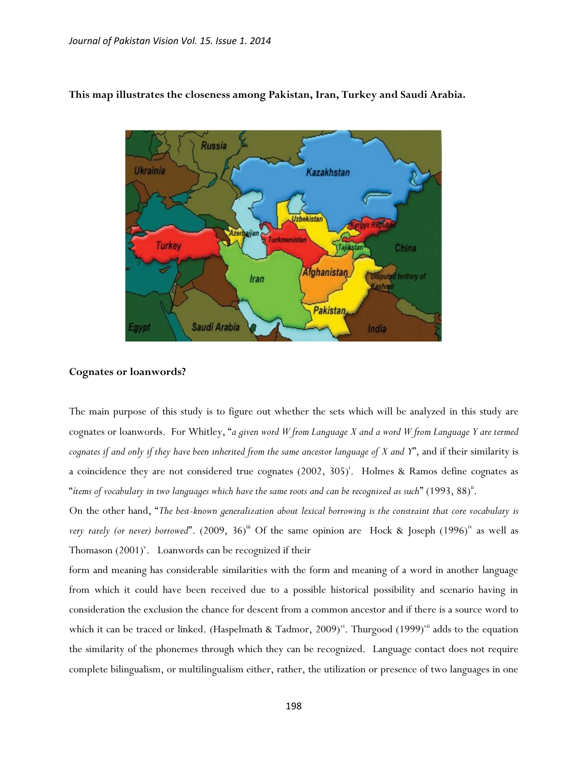

#### **This map illustrates the closeness among Pakistan, Iran, Turkey and Saudi Arabia.**

#### **Cognates or loanwords?**

The main purpose of this study is to figure out whether the sets which will be analyzed in this study are cognates or loanwords. For Whitley, "*a given word W from Language X and a word W from Language Y are termed cognates if and only if they have been inherited from the same ancestor language of X and Y*", and if their similarity is a coincidence they are not considered true cognates (2002, 305)<sup>i</sup>. Holmes & Ramos define cognates as "*ítems of vocabulary in two languages which have the same roots and can be recognized as such*" (1993, 88)ii .

On the other hand, "*The best-known generalization about lexical borrowing is the constraint that core vocabulary is*  very rarely (or never) borrowed". (2009, 36)<sup>iii</sup> Of the same opinion are Hock & Joseph (1996)<sup>iv</sup> as well as Thomason  $(2001)^{v}$ . Loanwords can be recognized if their

form and meaning has considerable similarities with the form and meaning of a word in another language from which it could have been received due to a possible historical possibility and scenario having in consideration the exclusion the chance for descent from a common ancestor and if there is a source word to which it can be traced or linked. (Haspelmath & Tadmor, 2009)<sup>vi</sup>. Thurgood (1999)<sup>vii</sup> adds to the equation the similarity of the phonemes through which they can be recognized. Language contact does not require complete bilingualism, or multilingualism either, rather, the utilization or presence of two languages in one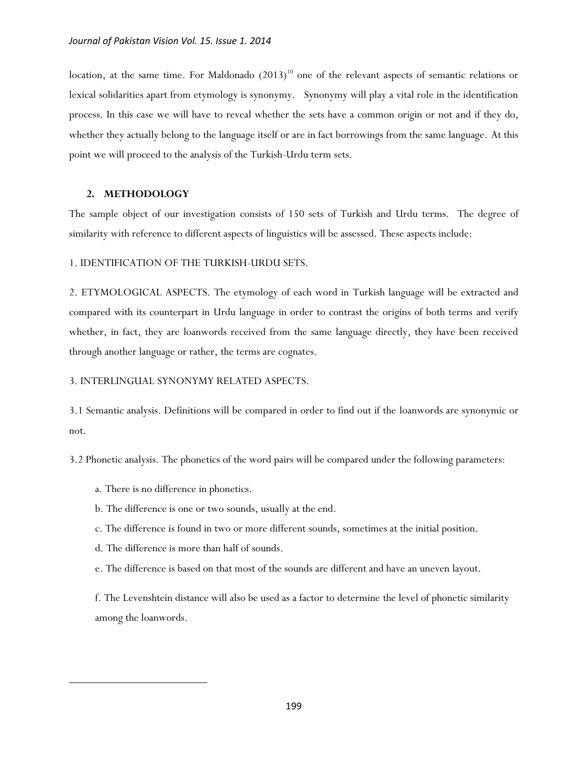location, at the same time. For Maldonado  $(2013)^{10}$  one of the relevant aspects of semantic relations or lexical solidarities apart from etymology is synonymy. Synonymy will play a vital role in the identification process. In this case we will have to reveal whether the sets have a common origin or not and if they do, whether they actually belong to the language itself or are in fact borrowings from the same language. At this point we will proceed to the analysis of the Turkish-Urdu term sets.

#### **2. METHODOLOGY**

The sample object of our investigation consists of 150 sets of Turkish and Urdu terms. The degree of similarity with reference to different aspects of linguistics will be assessed. These aspects include:

1. IDENTIFICATION OF THE TURKISH-URDU SETS.

2. ETYMOLOGICAL ASPECTS. The etymology of each word in Turkish language will be extracted and compared with its counterpart in Urdu language in order to contrast the origins of both terms and verify whether, in fact, they are loanwords received from the same language directly, they have been received through another language or rather, the terms are cognates.

#### 3. INTERLINGUAL SYNONYMY RELATED ASPECTS.

3.1 Semantic analysis. Definitions will be compared in order to find out if the loanwords are synonymic or not.

3.2 Phonetic analysis. The phonetics of the word pairs will be compared under the following parameters:

a. There is no difference in phonetics.

l

- b. The difference is one or two sounds, usually at the end.
- c. The difference is found in two or more different sounds, sometimes at the initial position.
- d. The difference is more than half of sounds.
- e. The difference is based on that most of the sounds are different and have an uneven layout.

f. The Levenshtein distance will also be used as a factor to determine the level of phonetic similarity among the loanwords.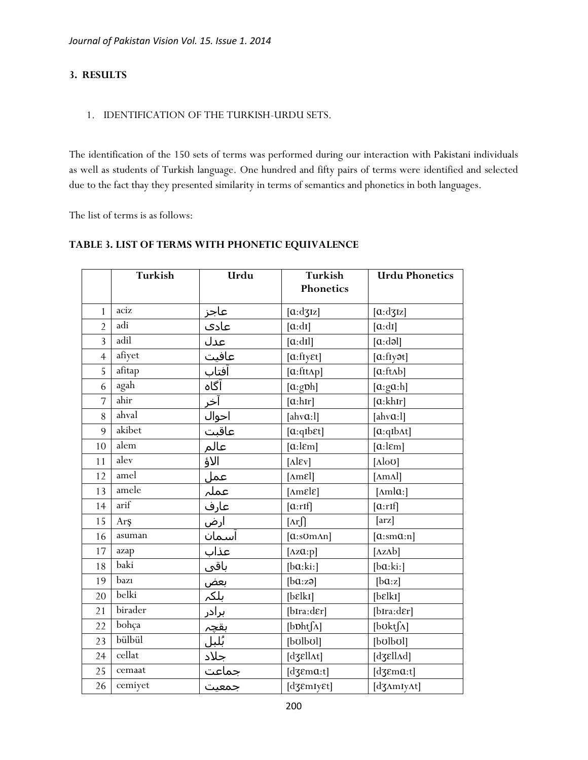## **3. RESULTS**

#### 1. IDENTIFICATION OF THE TURKISH-URDU SETS.

The identification of the 150 sets of terms was performed during our interaction with Pakistani individuals as well as students of Turkish language. One hundred and fifty pairs of terms were identified and selected due to the fact thay they presented similarity in terms of semantics and phonetics in both languages.

The list of terms is as follows:

## **TABLE 3. LIST OF TERMS WITH PHONETIC EQUIVALENCE**

|                | Turkish | Urdu                                                                                | Turkish                         | <b>Urdu Phonetics</b>              |
|----------------|---------|-------------------------------------------------------------------------------------|---------------------------------|------------------------------------|
|                |         |                                                                                     | Phonetics                       |                                    |
| $\mathbf{1}$   | aciz    | <u>عاجز</u>                                                                         | [a:dy]                          | [a:dy]                             |
| $\overline{2}$ | adi     | عادى                                                                                | [a:dt]                          | $[\alpha: dI]$                     |
| $\overline{3}$ | adil    | عدل                                                                                 | [a:dl]                          | [a:da]                             |
| $\overline{4}$ | afiyet  | عافیت                                                                               | $[$ a:fiy $\epsilon$ t]         | [a:fly <sub>3</sub> ] <sub>1</sub> |
| 5              | afitap  | آفتاب                                                                               | $[a:fft\Lambda p]$              | [a:ftAb]                           |
| 6              | agah    | آگاه                                                                                | [a:gph]                         | [a:ga:h]                           |
| $\overline{7}$ | ahir    | آخر                                                                                 | [a:hr]                          | [a: khr]                           |
| 8              | ahval   |                                                                                     | $[ahv\alpha:1]$                 | [ $ahv$ <b>a</b> : $l$ ]           |
| 9              | akibet  |                                                                                     | $[a:qIb\epsilon t]$             | [a:qIbAt]                          |
| 10             | alem    |                                                                                     | $[a:l\epsilon m]$               | $[a:l\epsilon m]$                  |
| 11             | alev    | الأؤ                                                                                | $[\text{Alex}]$                 | $[\text{Alo}U]$                    |
| 12             | amel    |                                                                                     | $[{\rm\Delta}m\epsilon]$        | [ <i>Im Al</i> ]                   |
| 13             | amele   |                                                                                     | $[{\rm \Delta m}$ <sub>El</sub> | [ $\text{Amla:}$ ]                 |
| 14             | arif    | <u>عمل</u><br>عملہ<br>عارف                                                          | [a:rf]                          | [a:rf]                             |
| 15             | Arş     |                                                                                     | $[\text{Ar}$                    | $[\text{arz}]$                     |
| 16             | asuman  | ارض<br><u>آسمان</u>                                                                 | $[a:som\land n]$                | [a:ma:n]                           |
| 17             | azap    |                                                                                     | [ $Az\alpha$ :p]                | [ $AzAb$ ]                         |
| 18             | baki    |                                                                                     | [ba:ki:]                        | [ba:ki:]                           |
| 19             | bazı    |                                                                                     | [ba:z3]                         | [ba:z]                             |
| 20             | belki   |                                                                                     | [belki]                         | [belki]                            |
| 21             | birader |                                                                                     | [bIra:dɛr]                      | [bIra:dɛr]                         |
| 22             | bohça   | <u>عذاب<br/>القي<br/>المكم المكر</u><br>المجمعيت<br>المجمعيت<br>المعنيت<br>المجمعيت | [bphtf^]                        | [boktf^]                           |
| 23             | bülbül  |                                                                                     | [bolbol]                        | [bolbol]                           |
| 24             | cellat  |                                                                                     | [dʒɛllʌt]                       | [d3&llAd]                          |
| 25             | cemaat  |                                                                                     | [d $3$ Ema:t]                   | [d $3$ Ema:t]                      |
| 26             | cemiyet |                                                                                     | [d3 EmIy Et]                    | [d3AmIyAt]                         |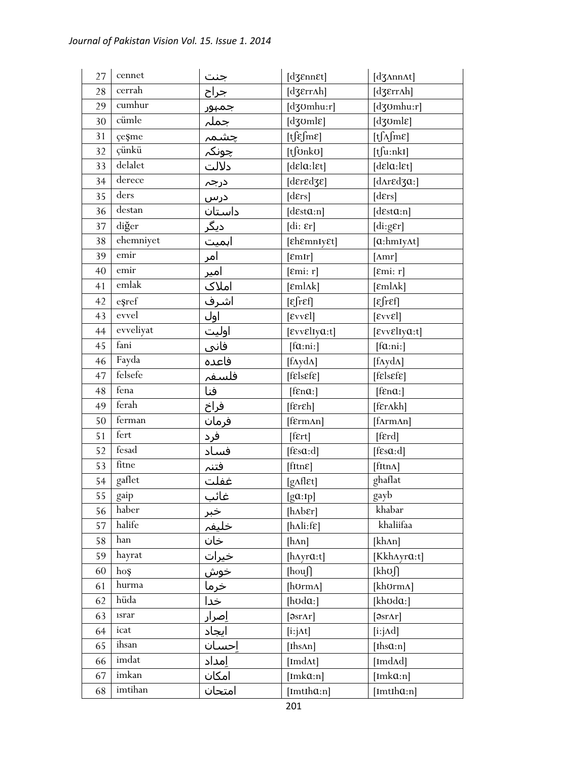| 27 | cennet                                                                                                | جنت                                                     | [dʒɛnnɛt]                                            | [d3AnnAt]                               |
|----|-------------------------------------------------------------------------------------------------------|---------------------------------------------------------|------------------------------------------------------|-----------------------------------------|
| 28 | cerrah                                                                                                | <u>جراح</u>                                             | [dʒɛrrʌh]                                            | $[d\mathfrak{ZErr}ah]$                  |
| 29 | cumhur                                                                                                | <u>جریح</u><br>جمہ <u>ور</u><br>جمہور<br>چونکہ<br>کلالت | [dʒʊmhu:r]                                           | $[d$ 30mhu:r]                           |
| 30 | cümle                                                                                                 |                                                         | $[d\overline{\text{g}}\text{oml}\varepsilon]$        | [dʒʊmlɛ]                                |
| 31 | çeşme                                                                                                 |                                                         | $[t]$ $\epsilon$ $\text{Im}$ $\epsilon$ ]            | $[t\int_A fm\epsilon]$                  |
| 32 | çünkü                                                                                                 |                                                         | [tfonko]                                             | $[t]$ u:nkI]                            |
| 33 | delalet                                                                                               |                                                         | [delay:let]                                          | [dela:let]                              |
| 34 | derece                                                                                                | <u>درجہ</u>                                             | $[{\rm d}\epsilon$ r ${\rm d}\epsilon$ z $\epsilon]$ | [d $\Lambda$ r $\epsilon$ d $\alpha$ :] |
| 35 | ders                                                                                                  | <u>درس</u>                                              | [ders]                                               | [ders]                                  |
| 36 | destan                                                                                                | داستان                                                  | [d $esta:n$ ]                                        | [desta:n]                               |
| 37 | diğer                                                                                                 | <u>دیگر</u>                                             | $\left[ \mathrm{di}\colon \epsilon r\right]$         | $[\text{di:gEr}]$                       |
| 38 | ehemniyet                                                                                             | اہمیت                                                   | [ensure]                                             | $[a: hmy\Lambda t]$                     |
| 39 | emir                                                                                                  | امر                                                     | [EmIr]                                               | $[{\rm Amr}]$                           |
| 40 | emir                                                                                                  | امیر                                                    | [Emi: r]                                             | [Emi: r]                                |
| 41 | emlak                                                                                                 | املاک                                                   | $[\text{emlak}]$                                     | $[\text{emlak}]$                        |
| 42 | eșref                                                                                                 | اشرف                                                    | $\epsilon$ fr $\epsilon$ f]                          | $[\epsilon$ fr $\epsilon$ f]            |
| 43 | evvel                                                                                                 | اول                                                     | $[\text{E}vv\text{E}]$                               | $[\text{E}vv\text{E}]$                  |
| 44 | evveliyat                                                                                             | اوليت                                                   | $[$ εννεlιγα:t]                                      | $[$ εννεlιγα:t]                         |
| 45 | fani                                                                                                  | <u>فانی</u>                                             | [fa:ni.]                                             | [fa:ni.]                                |
| 46 | Fayda                                                                                                 | فاعده                                                   | $[f\Lambda y d\Lambda]$                              | [f $\Lambda y d\Lambda$ ]               |
| 47 | felsefe                                                                                               | فلسفہ                                                   | $[{\text{felsef$\epsilon$}}]$                        | $[{\text{felsef$\epsilon$}}]$           |
| 48 | fena                                                                                                  | فنا                                                     | $[$ f $\epsilon$ na: $]$                             | $[$ f $\epsilon$ na: $]$                |
| 49 | ferah                                                                                                 | فراخ                                                    | $[{\rm f\epsilon r\epsilon h}]$                      | [fɛrʌkh]                                |
| 50 | ferman                                                                                                | فرمان                                                   | [fɛrmʌn]                                             | [fArmAn]                                |
| 51 | fert                                                                                                  | فرد                                                     | $[$ f $\epsilon$ rt $]$                              | [ferd]                                  |
| 52 | fesad                                                                                                 | فساد                                                    | [fsa:d]                                              | [ $f\in s\alpha$ :d]                    |
| 53 | fitne                                                                                                 | فتنہ<br>غفلت                                            | $[{\text{fitr}}]$                                    | [fttnA]                                 |
| 54 | gaflet                                                                                                |                                                         | $[g\Lambda f]$ <sub>Et</sub> ]                       | ghaflat                                 |
| 55 | gaip                                                                                                  | غائب                                                    | [ga:Ip]                                              | gayb                                    |
| 56 | haber                                                                                                 | خبر                                                     | $[h\Lambda b\epsilon r]$                             | khabar                                  |
| 57 | halife                                                                                                | خليفہ                                                   | $[h\Lambda]$ i:f $\epsilon]$                         | khaliifaa                               |
| 58 | han                                                                                                   | خان                                                     | $[h\Lambda n]$                                       | [kh^n]                                  |
| 59 | hayrat                                                                                                | <u>خیرات</u>                                            | [ $hAyra:t$ ]                                        | [KkhAyra:t]                             |
| 60 | hoş                                                                                                   | <mark>خوش</mark><br>خرما                                | [hou]                                                | [khʊ∬                                   |
| 61 | hurma                                                                                                 |                                                         | [hʊrmʌ]                                              | [khʊrmʌ]                                |
| 62 | hüda                                                                                                  | خدا                                                     | [ $h$ $o$ $d$ $a$ :]                                 | [khʊdɑ:]                                |
| 63 | $\operatorname*{israr}% \nolimits_{\mathbb{Z}}\left( X;X\right) =\operatorname*{israt}(\mathbb{Z}/n)$ | <u>اِصرار</u>                                           | $[9sr\Lambda r]$                                     | $\lceil \partial$ sr $\Lambda r \rceil$ |
| 64 | icat                                                                                                  | ايجاد                                                   | $[i:j\Delta t]$                                      | [i:j $\text{Ad}$ ]                      |
| 65 | ihsan                                                                                                 | إحسان                                                   | [Ihs $\Delta n$ ]                                    | [Ihs $a:n$ ]                            |
| 66 | imdat                                                                                                 | امداد                                                   | [ImdAt]                                              | [Imd $\Lambda$ d]                       |
| 67 | imkan                                                                                                 | امكان                                                   | [Imk $a$ :n]                                         | [Imk $a$ :n]                            |
| 68 | imtihan                                                                                               | امتحان                                                  | $[Imth\alpha:n]$                                     | $[Imth\alpha:n]$                        |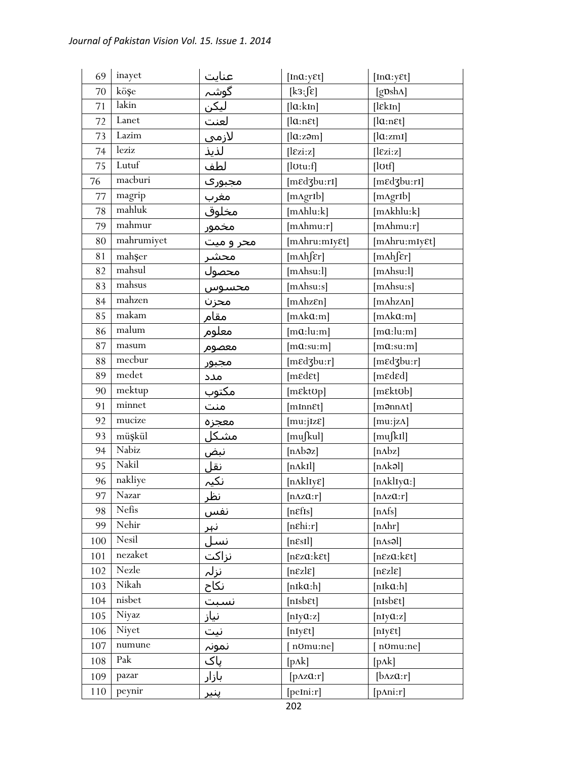| 69  | inayet                   |                                                                                                        | [ $Ina: y \in t$ ]           | [ $Ina: y \in t$ ]                       |
|-----|--------------------------|--------------------------------------------------------------------------------------------------------|------------------------------|------------------------------------------|
| 70  | köşe                     |                                                                                                        | [k3:5]                       | [gpsh^]                                  |
| 71  | lakin                    |                                                                                                        | [la:kIn]                     | $[$ l $\epsilon$ kIn]                    |
| 72  | Lanet                    |                                                                                                        | [lar:net]                    | $[la:n \epsilon t]$                      |
| 73  | Lazim                    | <u>عنایت<br/>گوشہ</u><br>لیک <u>ن</u><br>لازمی                                                         | [la:zom]                     | [la:zmi]                                 |
| 74  | leziz                    | لذيذ                                                                                                   | [lex:z]                      | [lex:z]                                  |
| 75  | Lutuf                    | لطف                                                                                                    | $[$ l $0$ tu:f $]$           | [lʊtf]                                   |
| 76  | macburi                  | مجبورې                                                                                                 | [mɛdʒbu:rI]                  | [mɛdʒbu:rI]                              |
| 77  | magrip                   |                                                                                                        | [mAgrIb]                     | [mAgrIb]                                 |
| 78  | mahluk                   |                                                                                                        | $[m\Lambda hlu:k]$           | [mAkhlu:k]                               |
| 79  | mahmur                   |                                                                                                        | [mʌhmu:r]                    | [mAhmu:r]                                |
| 80  | mahrumiyet               | <u>مجبورت</u><br>مخل <u>وق</u><br>مخلوق<br>محمور<br>محصول<br>محسوس<br>محسوس<br>محسوس<br>مخسوس<br>مخسوس | [mAhru:mIyɛt]                | [mAhru:mIy&t]                            |
| 81  | mahşer                   |                                                                                                        | [m∧h∫ɛr]                     | [m∧h∫ɛr]                                 |
| 82  | mahsul                   |                                                                                                        | $[m{\rm Absu:}l]$            | [mAhsu:1]                                |
| 83  | mahsus                   |                                                                                                        | [ $m\Lambda$ hsu:s]          | $[m{\rm A}h s u:s]$                      |
| 84  | mahzen                   |                                                                                                        | $[m \Lambda h z \epsilon n]$ | [mAhzAn]                                 |
| 85  | makam                    |                                                                                                        | [mAka:m]                     | [mAka:m]                                 |
| 86  | malum                    | معلوم                                                                                                  | $[m\alpha:lu:m]$             | $[m\alpha:lu:m]$                         |
| 87  | masum                    | معصوم                                                                                                  | $[m\alpha:su:m]$             | $[m\mathfrak{a}:\mathrm{su}:\mathrm{m}]$ |
| 88  | mecbur                   | <u> مجبور</u>                                                                                          | [med3bu:r]                   | [medzbu:r]                               |
| 89  | medet                    | مدد                                                                                                    | [medet]                      | [mɛdɛd]                                  |
| 90  | mektup                   | مكتوب                                                                                                  | $[m \& t \& t \& p]$         | [mɛktʊb]                                 |
| 91  | minnet                   |                                                                                                        | [mmEt]                       | $[$ m <b></b> ənn $\Lambda t$ ]          |
| 92  | mucize                   | سعوب<br>منت<br>معجزه<br>مشک <u>ل</u><br>نظر نکیہ<br>نظر                                                | [mu:jIzε]                    | [mu:jzA]                                 |
| 93  | müşkül                   |                                                                                                        | [mußul]                      | [mu[k]                                   |
| 94  | Nabiz                    |                                                                                                        | [nʌbəz]                      | [nAbz]                                   |
| 95  | Nakil                    |                                                                                                        | [nAkI]                       | [n^kəl]                                  |
| 96  | nakliye                  |                                                                                                        | [nAkl1y&]                    | [nAklIya:]                               |
| 97  | Nazar                    |                                                                                                        | $[n\Delta z\alpha:r]$        | $[n\Delta z\alpha:r]$                    |
| 98  | Nefis                    | نفس                                                                                                    | [nefs]                       | [nAfs]                                   |
| 99  | Nehir                    | نہ <u>ر</u>                                                                                            | $[nE\text{hi}:r]$            | $[n\Lambda hr]$                          |
| 100 | Nesil                    | <u>نسل</u>                                                                                             | $[n\epsilon s I]$            | [nAs3]                                   |
| 101 | $\operatorname{nezaket}$ | <u>نزاکت</u>                                                                                           | [n&za:k&t]                   | $[n\epsilon z\alpha:k\epsilon t]$        |
| 102 | Nezle                    | َنزلہ                                                                                                  | $[n\epsilon z]$              | $[n\epsilon z]$                          |
| 103 | Nikah                    | نكاح                                                                                                   | $[nik\alpha:h]$              | $[nik\alpha:h]$                          |
| 104 | nisbet                   | نسبت                                                                                                   | [nIsbɛt]                     | [nIsbɛt]                                 |
| 105 | Niyaz                    | <u>نیاز</u>                                                                                            | [ $nIy@:z$ ]                 | [ $nIy@:z$ ]                             |
| 106 | Niyet                    | <u>نیت</u>                                                                                             | [nIyEt]                      | [nIyEt]                                  |
| 107 | numune                   | نمونہ                                                                                                  | [n0mu:ne]                    | [n0mu:ne]                                |
| 108 | Pak                      | پاک                                                                                                    | $[p\Lambda k]$               | $[p\Lambda k]$                           |
| 109 | pazar                    | بازار                                                                                                  | $[\text{pAzQ:}r]$            | [ <b>b</b> Az@:r]                        |
| 110 | peynir                   | <u>پنیر</u>                                                                                            | [peIni:r]                    | [ <i>p</i> Ani:r]                        |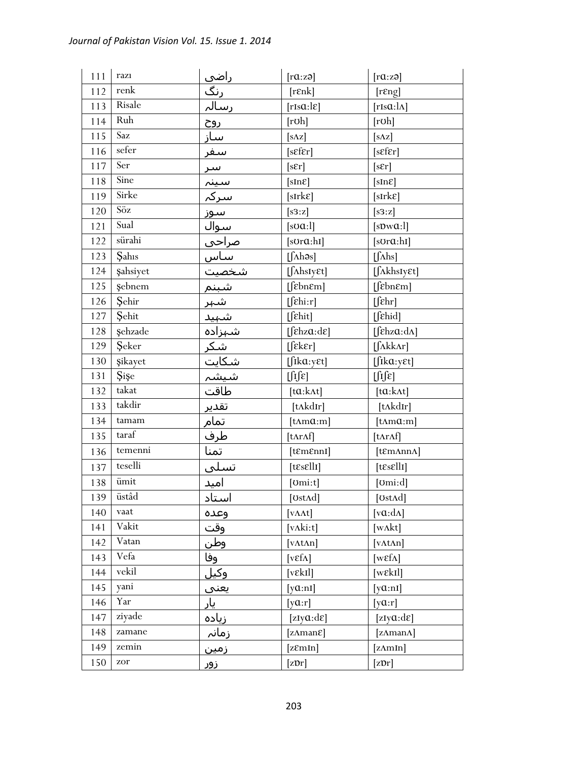| 111 | razı              | <u>راضی</u><br>رنگ<br>رسالہ | [raza]                                   | [raza]                                               |
|-----|-------------------|-----------------------------|------------------------------------------|------------------------------------------------------|
| 112 | renk              |                             | [ <b>rank</b> ]                          | [resp]                                               |
| 113 | Risale            |                             | [rIsa:le]                                | $[rIs\alpha:\lambda]$                                |
| 114 | Ruh               | <u>روح</u>                  | [rob]                                    | [rob]                                                |
| 115 | Saz               | <u>ساز</u>                  | $[s\Delta z]$                            | $[s \Delta z]$                                       |
| 116 | sefer             | <u>سفر</u>                  | [sEfr]                                   | [sEfr]                                               |
| 117 | Ser               |                             | $[s\epsilon r]$                          | [sEr]                                                |
| 118 | Sine              |                             | $[sIn\epsilon]$                          | [sInE]                                               |
| 119 | Sirke             |                             | $[sIrk\epsilon]$                         | $[sIrk\epsilon]$                                     |
| 120 | $S\ddot{o}z$      |                             | [s3:z]                                   | [s3:z]                                               |
| 121 | Sual              |                             | $[s\sigma\alpha:1]$                      | [sDwQ:1]                                             |
| 122 | sürahi            |                             | [sora:hi]                                | $[s$ Ur $a$ :hI]                                     |
| 123 | <b>Sahis</b>      |                             | $[\int \Lambda h \partial s]$            | $[\int$ Ahs]                                         |
| 124 | Şahsiyet          |                             | [SAhsIy <sup>et]</sup>                   | $[\int \Lambda khsIy\epsilon t]$                     |
| 125 | Şebnem            |                             | [febnem]                                 | [febnem]                                             |
| 126 | Şehir             |                             | $[$ [ $\epsilon$ hi:r]                   | $[$ $[$ $\varepsilon$ hr $]$                         |
| 127 | Sehit             |                             | $[\int \mathcal{E}hit]$                  | $[$$ fehid]                                          |
| 128 | Şehzade           |                             | $[\intehza:\text{d}\varepsilon]$         | [ $\left[\int \epsilon h z \alpha : d\Lambda\right]$ |
| 129 | Şeker             |                             | $[$ [ $\epsilon$ k $\epsilon$ r]         | $[\int \Lambda k k \Lambda r]$                       |
| 130 | şikayet           |                             | $[$ fika:y $\varepsilon$ t]              | $[$ fika:y $\epsilon$ t]                             |
| 131 | Şişe              |                             | $\iint \mathcal{E}$                      | $\iint\!\! f[\varepsilon]$                           |
| 132 | takat             |                             | $[ta:k\Lambda t]$                        | $[ta:k\Lambda t]$                                    |
| 133 | takdir            |                             | [tʌkdɪr]                                 | [tʌkdɪr]                                             |
| 134 | taman             | <u>تقدیر</u><br>تمام<br>طرف | $[tAm\alpha:m]$                          | $[{\rm t\Delta m}{\mathfrak a} {:} {\rm m}]$         |
| 135 | $\mbox{taraf}$    |                             | [tnrAf]                                  | [tArAf]                                              |
| 136 | temenni           | تمنا                        | $[$ t $\mathcal{E}$ m $\mathcal{E}$ nnI] | [tɛmʌnnʌ]                                            |
| 137 | teselli           | تسلى                        | $[t\epsilon s \epsilon llI]$             | $[t\epsilon s \epsilon llI]$                         |
| 138 | $\ddot{\rm unit}$ | <u>امید</u>                 | [ <i>l</i> om: <i>t</i> ] <sub>l</sub>   | [ $Omi: d$ ]                                         |
| 139 | üstâd             | استاد                       | [UstAd]                                  | [ $Ust\Lambda d$ ]                                   |
| 140 | vaat              | وعده                        | $[v\Lambda\Lambda t]$                    | [ $v\alpha$ : $d\Lambda$ ]                           |
| 141 | Vakit             | وقت                         | [vAki:t]                                 | [wΛkt]                                               |
| 142 | Vatan             | وطن                         | $[\text{vAtAn}]$                         | <b>v</b> AtAn                                        |
| 143 | Vefa              | وفا                         | [ $v \in \Lambda$ ]                      | [ $w\epsilon f\Lambda$ ]                             |
| 144 | vekil             | <u>وکيل</u>                 | [vɛkɪl]                                  | $[we$ kIl]                                           |
| 145 | yani              | <u>یعنی</u>                 | $[\text{y}\alpha:\text{nl}]$             | $[y\alpha:n]$                                        |
| 146 | Yar               | یار                         | [ya:r]                                   | [ya:r]                                               |
| 147 | ziyade            | زياده                       | [zIy $\alpha$ :d $\varepsilon$ ]         | [zIy $a: d\varepsilon$ ]                             |
| 148 | zamane            | زمانہ                       | [ $z\Lambda$ man $\varepsilon$ ]         | [zAmanA]                                             |
| 149 | zemin             | <u>زمین</u>                 | [zEmin]                                  | [zAmIn]                                              |
| 150 | zor               | زور                         | $[\text{zDr}]$                           | $[\text{zDr}]$                                       |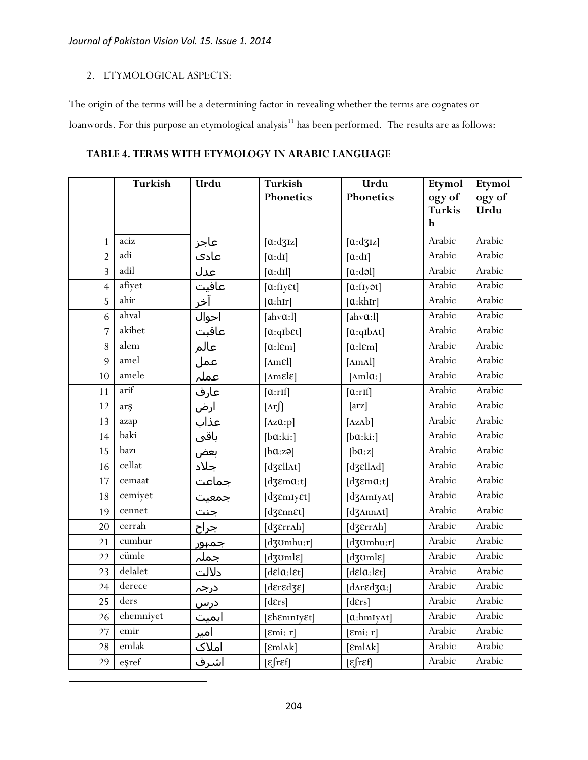#### 2. ETYMOLOGICAL ASPECTS:

 $\overline{\phantom{a}}$ 

The origin of the terms will be a determining factor in revealing whether the terms are cognates or loanwords. For this purpose an etymological analysis<sup>11</sup> has been performed. The results are as follows:

#### **TABLE 4. TERMS WITH ETYMOLOGY IN ARABIC LANGUAGE**

|                | <b>Turkish</b> | Urdu       | <b>Turkish</b>                                             | Urdu                                          | Etymol                  | Etymol         |
|----------------|----------------|------------|------------------------------------------------------------|-----------------------------------------------|-------------------------|----------------|
|                |                |            | Phonetics                                                  | Phonetics                                     | ogy of<br><b>Turkis</b> | ogy of<br>Urdu |
|                |                |            |                                                            |                                               | h                       |                |
| $\mathbf{1}$   | aciz           | عاجز       | $[\alpha:dz]$                                              | [a:dz]                                        | Arabic                  | Arabic         |
| $\overline{2}$ | adi            | عادى       | [a:di]                                                     | [a:di]                                        | Arabic                  | Arabic         |
| $\overline{3}$ | adil           | عدل        | [a:dl]                                                     | [a:da]                                        | Arabic                  | Arabic         |
| $\overline{4}$ | afiyet         | عافيت      | [a:flyEt]                                                  | [a:fly <sub>3</sub> ] <sub>1</sub>            | Arabic                  | Arabic         |
| 5              | ahir           | آخر        | [a:hr]                                                     | [a:khIr]                                      | Arabic                  | Arabic         |
| 6              | ahval          | احوال      | [ahv $a:1$ ]                                               | [ahv $a:$ ]]                                  | Arabic                  | Arabic         |
| $\overline{7}$ | akibet         | ۔<br>عاقبت | $[a:qIb\epsilon t]$                                        | [a:qib <sub>At</sub> ]                        | Arabic                  | Arabic         |
| $8\,$          | alem           | عالم       | [a:lcm]                                                    | [a:lcm]                                       | Arabic                  | Arabic         |
| 9              | amel           | عمل        | $[Am\epsilon]$                                             | $[\text{A}m\text{Al}]$                        | Arabic                  | Arabic         |
| 10             | amele          | عملہ       | $[{\rm \Delta m}$ ε $[\epsilon]$                           | [ $\text{Amla:}$ ]                            | Arabic                  | Arabic         |
| 11             | arif           | عارف       | [a:rf]                                                     | $[\alpha:\text{rIf}]$                         | Arabic                  | Arabic         |
| 12             | arş            | ارض        | $[\text{Ar}$                                               | [arz]                                         | Arabic                  | Arabic         |
| 13             | azap           | عذاب       | [ $Az\alpha:p$ ]                                           | $[\Delta z \Delta b]$                         | Arabic                  | Arabic         |
| 14             | baki           | باقی       | [ba:ki:]                                                   | [ba:ki:]                                      | Arabic                  | Arabic         |
| 15             | bazı           | بعض        | [ba:zə]                                                    | [ba:z]                                        | Arabic                  | Arabic         |
| 16             | cellat         | جلاد       | [dʒεllʌt]                                                  | $[d38ll\text{Ad}]$                            | Arabic                  | Arabic         |
| 17             | cemaat         | جماعت      | [d $3\varepsilon$ ma:t]                                    | $[d\mathfrak{Z}ema:t]$                        | Arabic                  | Arabic         |
| 18             | cemiyet        | جمعیت      | [dʒɛmɪyɛt]                                                 | [d3AmIyAt]                                    | Arabic                  | Arabic         |
| 19             | cennet         | جنت        | $[d\mathfrak{Z}$ <i>EnnEt</i> ]                            | $[d \text{J} \Lambda n n \Lambda t]$          | Arabic                  | Arabic         |
| 20             | cerrah         | جراح       | [dʒɛrrʌh]                                                  | [dʒɛrrʌh]                                     | Arabic                  | Arabic         |
| 21             | cumhur         | جمہور      | [d30mhu:r]                                                 | [d30mhu:r]                                    | Arabic                  | Arabic         |
| 22             | cümle          | جملہ       | $[d\overline{\text{g}}\text{oml}\varepsilon]$              | $[d\overline{\text{g}}\text{oml}\varepsilon]$ | Arabic                  | Arabic         |
| 23             | delalet        | دلالت      | [delay:let]                                                | [delay:let]                                   | Arabic                  | Arabic         |
| 24             | derece         | درجہ       | $[{\rm d}\epsilon$ r ${\rm d}\epsilon$ d ${\rm d}\epsilon$ | [d $\Lambda$ r $\epsilon$ d $\alpha$ :]       | Arabic                  | Arabic         |
| 25             | ders           | درس        | [ders]                                                     | [ders]                                        | Arabic                  | Arabic         |
| 26             | ehemniyet      | اہمیت      | [£h&mnIy&t]                                                | $[a: hmy\Lambda t]$                           | Arabic                  | Arabic         |
| 27             | emir           | امیر       | [Emi: r]                                                   | [Emi: r]                                      | Arabic                  | Arabic         |
| 28             | emlak          | املاک      | $[eml \lambda k]$                                          | $[\text{emlak}]$                              | Arabic                  | Arabic         |
| 29             | eşref          | اشرف       | $\epsilon$ fref]                                           | $\lbrack \varepsilon \rbrack$ ref             | Arabic                  | Arabic         |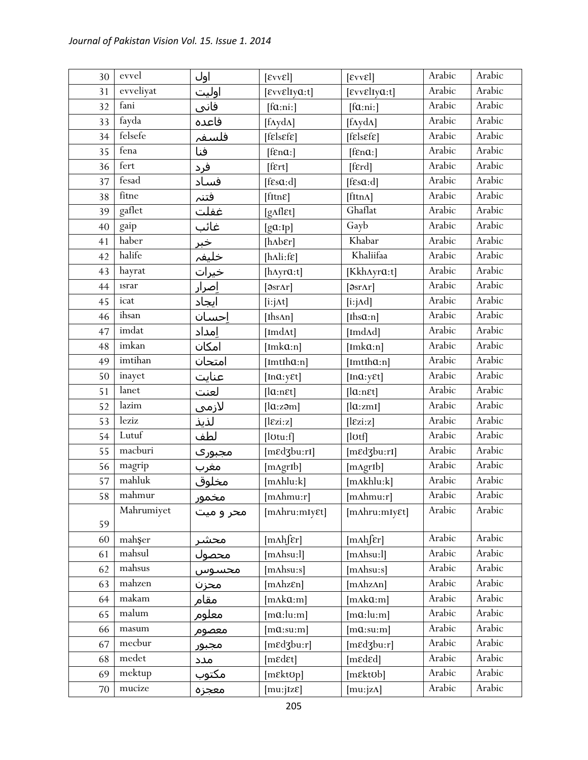| 30 | evvel       | اول          | $[\text{E}vv\text{E}]$             | $[\text{E}vv\text{E}]$                       | Arabic | Arabic |
|----|-------------|--------------|------------------------------------|----------------------------------------------|--------|--------|
| 31 | evveliyat   | اوليت        | $[$ εννεlιγα:t]                    | $[$ εννεlιγα:t]                              | Arabic | Arabic |
| 32 | fani        | فانی         | [fa:ni:]                           | [fa:n:]                                      | Arabic | Arabic |
| 33 | fayda       | فاعده        | $[f\Lambda y d\Lambda]$            | $[f\Lambda y d\Lambda]$                      | Arabic | Arabic |
| 34 | felsefe     | فلسفہ        | $[f$ els $\epsilon$ f $\epsilon$ ] | $[f$ <i>E</i> $ s$ <i>E</i> $f$ <i>E</i> $]$ | Arabic | Arabic |
| 35 | fena        | فنا          | [f $\epsilon$ na:]                 | $[$ f $\epsilon$ na: $]$                     | Arabic | Arabic |
| 36 | fert        | فرد          | $[$ f $\epsilon$ rt $]$            | [ferd]                                       | Arabic | Arabic |
| 37 | fesad       | فساد         | $[fs\alpha:d]$                     | [fsa:d]                                      | Arabic | Arabic |
| 38 | fitne       | فتنم         | $[$ fitn $\varepsilon]$            | $[fttn\Lambda]$                              | Arabic | Arabic |
| 39 | gaflet      | غفلت         | [gAflet]                           | Ghaflat                                      | Arabic | Arabic |
| 40 | gaip        | غائب         | [ga:Ip]                            | Gayb                                         | Arabic | Arabic |
| 41 | haber       | <u>خبر</u>   | [ $h$ $h$ $h$ $er$ ]               | Khabar                                       | Arabic | Arabic |
| 42 | halife      | خليفہ        | [ $h\Lambda$ li:f $\varepsilon$ ]  | Khaliifaa                                    | Arabic | Arabic |
| 43 | hayrat      | خيرات        | [ $hAyra:t$ ]                      | [Kkh^yra:t]                                  | Arabic | Arabic |
| 44 | <i>srar</i> | <u>اصرار</u> | [ <i>9</i> srAr]                   | [ <i>9</i> srAr]                             | Arabic | Arabic |
| 45 | icat        | ايجاد        | $[i:j\Delta t]$                    | $[i:j \land d]$                              | Arabic | Arabic |
| 46 | ihsan       | احسان        | [Ihs $An$ ]                        | [Ihs $a:n$ ]                                 | Arabic | Arabic |
| 47 | imdat       | امداد        | [Imd $\Lambda t$ ]                 | [ImdA]                                       | Arabic | Arabic |
| 48 | imkan       | امكان        | [Imk $a:n$ ]                       | $[Imk\alpha:n]$                              | Arabic | Arabic |
| 49 | imtihan     | امتحان       | [ImtIh $a:n$ ]                     | $[Imth\alpha:n]$                             | Arabic | Arabic |
| 50 | inayet      | عنايت        | [ $Ina: y \in t$ ]                 | $[Ima: y \epsilon t]$                        | Arabic | Arabic |
| 51 | lanet       | لعنت         | $[la:n \varepsilon t]$             | $[la:n \varepsilon t]$                       | Arabic | Arabic |
| 52 | lazim       | لازمى        | [la:z <sub>2</sub> m]              | [la:zmi]                                     | Arabic | Arabic |
| 53 | leziz       | لذيذ         | $[\text{læzi:z}]$                  | $[\text{lezi:z}]$                            | Arabic | Arabic |
| 54 | Lutuf       | لطف          | [lotu:f]                           | $[$ l $U$ tf $]$                             | Arabic | Arabic |
| 55 | macburi     | مجبورک       | $[m \in d3b u: r1]$                | [medzbu:ri]                                  | Arabic | Arabic |
| 56 | magrip      | <u>مغرب</u>  | [mAgrIb]                           | [mAgrIb]                                     | Arabic | Arabic |
| 57 | mahluk      | مخلوق        | $[m\Lambda h]$ lu:k]               | [mAkhlu:k]                                   | Arabic | Arabic |
| 58 | mahmur      | مخمور        | $[m\Lambda hmu:r]$                 | $[m\Lambda hmu:r]$                           | Arabic | Arabic |
|    | Mahrumiyet  | محر و میت    | [mAhru:mIy&t]                      | [mAhru:mIy&t]                                | Arabic | Arabic |
| 59 |             |              |                                    |                                              |        |        |
| 60 | mahşer      | محشر         | $[m\Lambda h]$ $\epsilon$ r]       | $[m\Lambda h]$ $\epsilon$ r]                 | Arabic | Arabic |
| 61 | mahsul      | محصول        | [m <sub>Ansu</sub> :!]             | [mAlso:!]                                    | Arabic | Arabic |
| 62 | mahsus      | محسوس        | [m∧hsu:s]                          | $[m{\rm A}h{\rm su}{:}\rm s]$                | Arabic | Arabic |
| 63 | mahzen      | محزن         | $[m\Lambda hz\epsilon n]$          | [mhzAn]                                      | Arabic | Arabic |
| 64 | makam       | مقام         | [mAka:m]                           | [mAka:m]                                     | Arabic | Arabic |
| 65 | malum       | معلوم        | $[m\alpha:lu:m]$                   | $[m\alpha:lu:m]$                             | Arabic | Arabic |
| 66 | masum       | معصوم        | $[m\mathfrak{a}:su:m]$             | $[m\alpha:su:m]$                             | Arabic | Arabic |
| 67 | mecbur      | مجبور        | [medzbu:r]                         | [medzbu:r]                                   | Arabic | Arabic |
| 68 | medet       | مدد          | [medet]                            | [meded]                                      | Arabic | Arabic |
| 69 | mektup      | مكتوب        | [mɛktʊp]                           | $[m$ <i>ektob</i> ]                          | Arabic | Arabic |
| 70 | mucize      | معجزه        | [mu:jIzE]                          | [mu:jzA]                                     | Arabic | Arabic |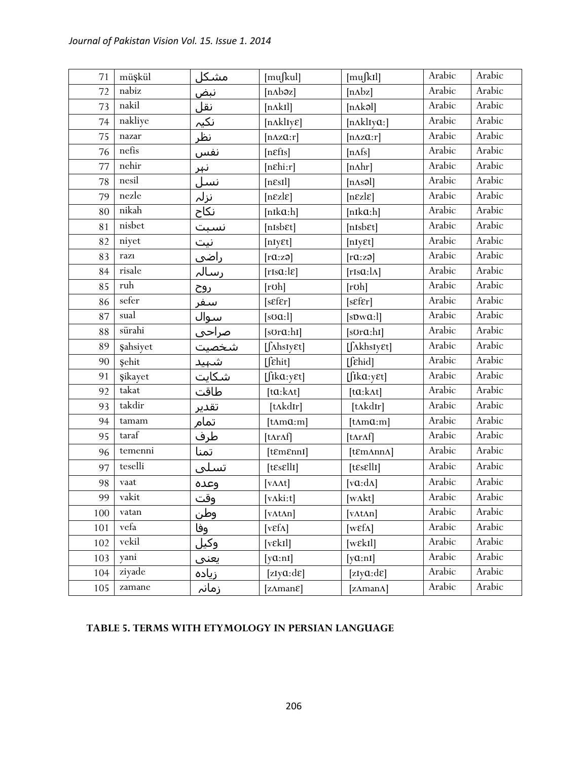| 71  | müşkül                        | مشكل       | [mu[kul]                                 | [mu[k]                           | Arabic | Arabic |
|-----|-------------------------------|------------|------------------------------------------|----------------------------------|--------|--------|
| 72  | nabiz                         | <u>نبض</u> | $[nAb\vartheta z]$                       | [nAbz]                           | Arabic | Arabic |
| 73  | nakil                         | <u>نقل</u> | [nAkI]                                   | [nAkə]                           | Arabic | Arabic |
| 74  | nakliye                       | نکیہ<br>۔  | $[n\Lambda k]_{i\in\mathbb{N}}$          | $[n\Delta k]$ Iya:]              | Arabic | Arabic |
| 75  | nazar                         | نظر        | $[n\Delta z\alpha:\mathbf{r}]$           | $[n\Delta z\alpha:\mathbf{r}]$   | Arabic | Arabic |
| 76  | nefis                         | <u>نفس</u> | [neffls]                                 | [nAfs]                           | Arabic | Arabic |
| 77  | nehir                         | <u>نہر</u> | $[nE\text{hi}:r]$                        | $[n\Lambda hr]$                  | Arabic | Arabic |
| 78  | nesil                         | <u>نسل</u> | $[n\epsilon s I]$                        | [nAs3]                           | Arabic | Arabic |
| 79  | nezle                         | نزلہ       | $[n\epsilon z]$                          | $[n\epsilon z]$                  | Arabic | Arabic |
| 80  | nikah                         | نكاح       | $[nik\alpha:h]$                          | $[nik\alpha:h]$                  | Arabic | Arabic |
| 81  | nisbet                        | نسبت       | $[nIsb\epsilon t]$                       | $[nIsb\epsilon t]$               | Arabic | Arabic |
| 82  | niyet                         | نیت        | [nIyEt]                                  | [nIyEt]                          | Arabic | Arabic |
| 83  | razı                          | راضی       | [raza]                                   | [raza]                           | Arabic | Arabic |
| 84  | risale                        | رسالہ      | [rIsa:le]                                | $[rIs\alpha:\lambda]$            | Arabic | Arabic |
| 85  | ruh                           | <u>روح</u> | [rob]                                    | [rob]                            | Arabic | Arabic |
| 86  | sefer                         | سفر        | [sEfEr]                                  | [sEfr]                           | Arabic | Arabic |
| 87  | $_{\mbox{\small\rm{sual}}}$   | سوالً      | $[s\sigma\alpha:1]$                      | [sDwQ:1]                         | Arabic | Arabic |
| 88  | sürahi                        | صراحي      | $[s$ Ur $a$ :hI]                         | $[s$ Ur $a$ :hI]                 | Arabic | Arabic |
| 89  | <b><i><u>sahsiyet</u></i></b> | شخصيت      | $[\int \Lambda h s I y \epsilon t]$      | $[\int \Lambda khsIy\epsilon t]$ | Arabic | Arabic |
| 90  | Şehit                         | شہید       | $[$ $[$ $\epsilon$ hit]                  | [fehid]                          | Arabic | Arabic |
| 91  | şikayet                       | شكايت      | $[$ fika:y $\varepsilon t]$              | $[$ fika:y $\epsilon t]$         | Arabic | Arabic |
| 92  | takat                         | طاقت       | $[ta:k\Lambda t]$                        | $[ta:k\Lambda t]$                | Arabic | Arabic |
| 93  | takdir                        | تقدير      | [tʌkdɪr]                                 | [tʌkdɪr]                         | Arabic | Arabic |
| 94  | tamam                         | تمام       | $[t\Lambda m\alpha:m]$                   | $[t\Lambda m\alpha:m]$           | Arabic | Arabic |
| 95  | taraf                         | طرف        | [tArAf]                                  | $[tnr\Lambda f]$                 | Arabic | Arabic |
| 96  | temenni                       | تمنا       | $[$ t $\mathcal{E}$ m $\mathcal{E}$ nnI] | [tɛmʌnnʌ]                        | Arabic | Arabic |
| 97  | teselli                       | تسلى       | $[t\epsilon s \epsilon llI]$             | $[t\epsilon s \epsilon llI]$     | Arabic | Arabic |
| 98  | vaat                          | وعده       | [vAt]                                    | $[va: d\Lambda]$                 | Arabic | Arabic |
| 99  | vakit                         | وقت        | [ $v\Lambda$ ki:t]                       | [ $w\Lambda kt$ ]                | Arabic | Arabic |
| 100 | vatan                         | وطن        | $[vt\Lambda n]$                          | $[\text{vAtAn}]$                 | Arabic | Arabic |
| 101 | vefa                          | وفا        | $[vEf\Lambda]$                           | [ $w\epsilon f\Lambda$ ]         | Arabic | Arabic |
| 102 | vekil                         | وكيل       | [vek1]                                   | $[w\epsilon kI]$                 | Arabic | Arabic |
| 103 | yani                          | يعني       | $[\text{y}a:\text{nl}]$                  | $[\text{y}a:\text{nl}]$          | Arabic | Arabic |
| 104 | ziyade                        | زياده      | [ $zIy@:d\varepsilon$ ]                  | [ $zIy@:d\mathcal{E}$ ]          | Arabic | Arabic |
| 105 | zamane                        | زمانہ      | [ $z\Lambda$ man $\varepsilon$ ]         | [zAmanA]                         | Arabic | Arabic |

## **TABLE 5. TERMS WITH ETYMOLOGY IN PERSIAN LANGUAGE**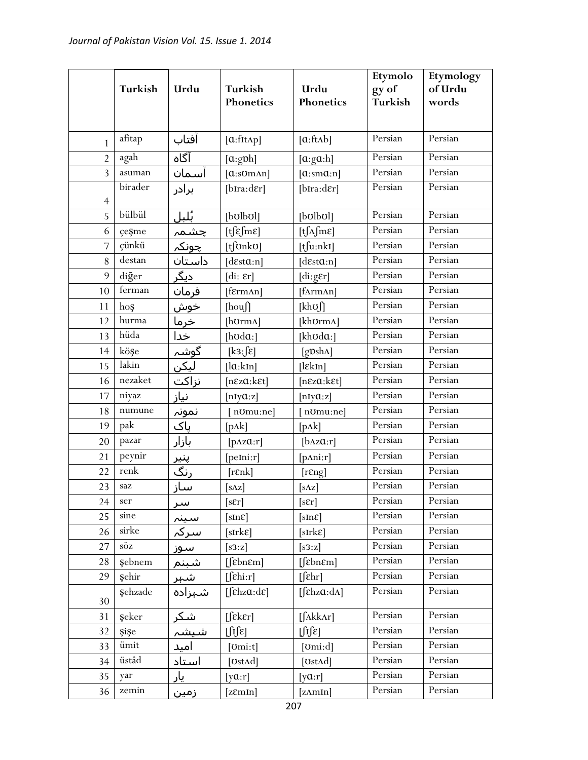|                | Turkish      | Urdu                       | Turkish<br>Phonetics                       | Urdu<br>Phonetics                                    | Etymolo<br>gy of<br>Turkish | Etymology<br>of Urdu<br>words |
|----------------|--------------|----------------------------|--------------------------------------------|------------------------------------------------------|-----------------------------|-------------------------------|
| 1              | afitap       | افتاب                      | [a:fitAp]                                  | [a:ftAb]                                             | Persian                     | Persian                       |
| $\overline{2}$ | agah         | آگاه                       | [a:gph]                                    | [a:ga:h]                                             | Persian                     | Persian                       |
| 3              | asuman       | آسمان                      | [a:somAn]                                  | [a:sma:n]                                            | Persian                     | Persian                       |
| $\overline{4}$ | birader      | برادر                      | $[b\text{Ira:der}]$                        | $[b\text{Ira:}\text{d}\epsilon r]$                   | Persian                     | Persian                       |
| 5              | bülbül       | بُلبل                      | [bolbol]                                   | [bolbol]                                             | Persian                     | Persian                       |
| 6              | çeşme        |                            | $[t]$ $\epsilon$ fm $\epsilon$ ]           | $[t\int_A fm\epsilon]$                               | Persian                     | Persian                       |
| 7              | çünkü        | <u>چشمہ</u><br>چونکہ       | $[t]$ OnkO]                                | $[t]$ u:nkI]                                         | Persian                     | Persian                       |
| 8              | destan       | داستان                     | [desta:n]                                  | [desta:n]                                            | Persian                     | Persian                       |
| 9              | diğer        | دیگر                       | $\left[ \mathrm{di:}\right.$ $\epsilon$ r] | $[di:g\epsilon r]$                                   | Persian                     | Persian                       |
| 10             | ferman       | فرمان                      | [fɛrmʌn]                                   | [fArmAn]                                             | Persian                     | Persian                       |
| 11             | hoş          | <u>خوش</u>                 | [houf]                                     | $[kh\sigma]$                                         | Persian                     | Persian                       |
| 12             | hurma        | خرما                       | [hʊrmʌ]                                    | [khʊrmʌ]                                             | Persian                     | Persian                       |
| 13             | hüda         | خدا                        | [ $h\nu d\alpha$ :]                        | [kh $\upsilon$ da:]                                  | Persian                     | Persian                       |
| 14             | köşe         |                            | $[k3:] \hat{\epsilon}]$                    | $[g \mathbf{D} \sh{\Lambda}]$                        | Persian                     | Persian                       |
| 15             | lakin        |                            | [la:kIn]                                   | $[$ l $\epsilon$ kIn]                                | Persian                     | Persian                       |
| 16             | nezaket      |                            | $[n\epsilon z\alpha:k\epsilon t]$          | $[n\epsilon z\alpha:k\epsilon t]$                    | Persian                     | Persian                       |
| 17             | niyaz        |                            | [nIyQ:z]                                   | [nIyQ:z]                                             | Persian                     | Persian                       |
| 18             | numune       | نمونہ                      | normal:nel                                 | nomu:ne]                                             | Persian                     | Persian                       |
| 19             | pak          | پاک                        | $[p\Lambda k]$                             | $[p\Lambda k]$                                       | Persian                     | Persian                       |
| 20             | pazar        | بازار                      | $[p\Delta z\alpha:r]$                      | [ <b>b</b> Az <b>Q</b> :r]                           | Persian                     | Persian                       |
| 21             | peynir       |                            | [peIni:r]                                  | $[{\rm pAni: r}]$                                    | Persian                     | Persian                       |
| 22             | renk         | پن <u>یر</u><br><u>رنگ</u> | [rɛnk]                                     | [resp]                                               | Persian                     | Persian                       |
| 23             | saz          | ساز                        | $[s \Delta z]$                             | $[s \Delta z]$                                       | Persian                     | Persian                       |
| 24             | ser          | سر                         | [sEr]                                      | $[s\epsilon r]$                                      | Persian                     | Persian                       |
| 25             | sine         | سينہ                       | [sInE]                                     | [sInE]                                               | Persian                     | Persian                       |
| 26             | sirke        | سركہ                       | $[sIrk\epsilon]$                           | $[sIrk\epsilon]$                                     | Persian                     | Persian                       |
| 27             | söz          | ِ سوز                      | [s3:z]                                     | [s3:z]                                               | Persian                     | Persian                       |
| 28             | şebnem       | شبنم                       | $[$ [ $\varepsilon$ bn $\varepsilon$ m]    | $[$ [ $\varepsilon$ bn $\varepsilon$ m]              | Persian                     | Persian                       |
| 29             | Şehir        | شہر                        | $[$ [ $\epsilon$ hi:r]                     | $[$ [ $\epsilon$ hr]                                 | Persian                     | Persian                       |
| 30             | Şehzade      | شہزادہ                     | $[fekz\alpha:de]$                          | [ $\left[\int \epsilon h z \alpha : d\Lambda\right]$ | Persian                     | Persian                       |
| 31             | şeker        | شكر                        | [feker]                                    | $[\int \Lambda k k \Lambda r]$                       | Persian                     | Persian                       |
| 32             | <b>Si</b> Se | شيشہ                       | $\left[\int f(\epsilon)\right]$            | $\iint \mathbf{E}$                                   | Persian                     | Persian                       |
| 33             | ümit         | امید                       | $[lomi:t]l$                                | $[{\rm om}:d]$                                       | Persian                     | Persian                       |
| 34             | üstâd        | استاد                      | [UstAd]                                    | [UstAd]                                              | Persian                     | Persian                       |
| 35             | yar          | یار                        | [ya:r]                                     | [ya:r]                                               | Persian                     | Persian                       |
| 36             | zemin        | زمین                       | [zEmIn]                                    | [zAmin]                                              | Persian                     | Persian                       |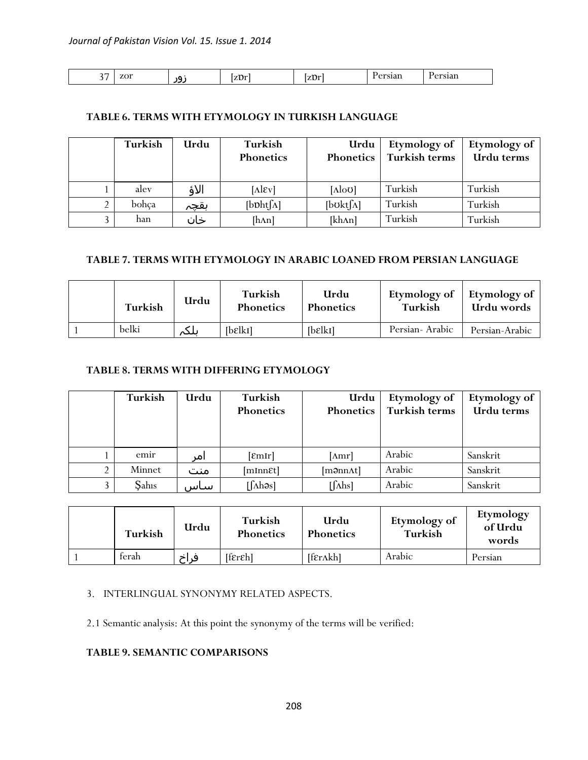| $\sim$ $-$<br>zor<br>٦L<br>້<br>--- | $T_{\rm BH}$<br>1 L V L | $-1$<br>n.<br>$\sim$<br>. | -------<br>0.1011<br>$- - - -$ | ---- |
|-------------------------------------|-------------------------|---------------------------|--------------------------------|------|
|-------------------------------------|-------------------------|---------------------------|--------------------------------|------|

### **TABLE 6. TERMS WITH ETYMOLOGY IN TURKISH LANGUAGE**

|               | Turkish | Urdu | Turkish<br>Phonetics | Urdu<br>Phonetics    | Etymology of<br>Turkish terms | Etymology of<br>Urdu terms |
|---------------|---------|------|----------------------|----------------------|-------------------------------|----------------------------|
|               | alev    | الاؤ | $[\text{Alex}]$      | [AloU]               | Turkish                       | Turkish                    |
| $\mathcal{D}$ | bohça   | بقچہ | $[b^{Dh}t[\Lambda]$  | [bot[ <sub>Λ</sub> ] | Turkish                       | Turkish                    |
| $\mathbf{R}$  | han     | خان  | [hAn]                | [khAn]               | Turkish                       | Turkish                    |

## **TABLE 7. TERMS WITH ETYMOLOGY IN ARABIC LOANED FROM PERSIAN LANGUAGE**

| Turkish | Urdu | Turkish<br><b>Phonetics</b> | Urdu<br><b>Phonetics</b> | Etymology of<br>Turkish | Etymology of<br>Urdu words |
|---------|------|-----------------------------|--------------------------|-------------------------|----------------------------|
| belki   | ىلكہ | [belki]                     | [belki]                  | Persian-Arabic          | Persian-Arabic             |

## **TABLE 8. TERMS WITH DIFFERING ETYMOLOGY**

|   | Turkish | Urdu | Turkish<br><b>Phonetics</b> | Urdu<br>Phonetics | Etymology of<br>Turkish terms | Etymology of<br>Urdu terms |
|---|---------|------|-----------------------------|-------------------|-------------------------------|----------------------------|
|   | emir    | امر  | [EmIr]                      | [Amr]             | Arabic                        | Sanskrit                   |
|   | Minnet  | منت  | [mInnet]                    | [m <b>ə</b> nnAt] | Arabic                        | Sanskrit                   |
| 3 | Sahıs   | ساس  | $[\int$ Ahəs]               | $[\int$ Ahs]      | Arabic                        | Sanskrit                   |

| Turkish | Urdu | Turkish<br><b>Phonetics</b> | Urdu<br><b>Phonetics</b> | Etymology of<br>Turkish | Etymology<br>of Urdu<br>words |
|---------|------|-----------------------------|--------------------------|-------------------------|-------------------------------|
| terah   | فراخ | $[fer\epsilon h]$           | [frankh]                 | Arabic                  | Persian                       |

## 3. INTERLINGUAL SYNONYMY RELATED ASPECTS.

2.1 Semantic analysis: At this point the synonymy of the terms will be verified:

## **TABLE 9. SEMANTIC COMPARISONS**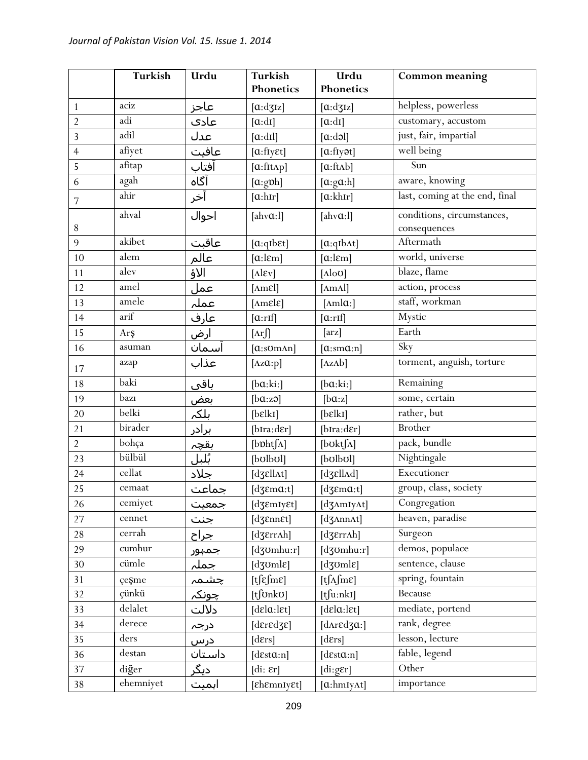|                | Turkish               | Urdu                  | <b>Turkish</b><br>Phonetics                   | Urdu<br>Phonetics                             | Common meaning                 |
|----------------|-----------------------|-----------------------|-----------------------------------------------|-----------------------------------------------|--------------------------------|
| $\mathbf{1}$   | aciz                  | عاجز                  | [a:dz]                                        | [a:dz]                                        | helpless, powerless            |
| $\overline{2}$ | adi                   | عادک                  | $[\alpha : dI]$                               | [a:dt]                                        | customary, accustom            |
| $\overline{3}$ | adil                  | عدل                   | $[\alpha: dI]$                                | [a:da]                                        | just, fair, impartial          |
| $\overline{4}$ | afiyet                | عافيت                 | [a:flyEt]                                     | [a:fly <sub>3</sub> ] <sub>1</sub>            | well being                     |
| 5              | afitap                | افتاب                 | $[a:\text{fitAp}]$                            | [a:ftʌb]                                      | Sun                            |
| 6              | agah                  | آگاه                  | [a:gph]                                       | [a:ga:h]                                      | aware, knowing                 |
|                | ahir                  | آخر                   | $[\alpha:hr]$                                 | [a: khr]                                      | last, coming at the end, final |
| $\sqrt{ }$     |                       |                       |                                               |                                               |                                |
|                | ahval                 | احوال                 | [ahv $a$ :1]                                  | [ahv $a:$ ]]                                  | conditions, circumstances,     |
| $8\,$<br>9     | akibet                |                       |                                               |                                               | consequences<br>Aftermath      |
| 10             | alem                  | عاقبت                 | $[a:qIb\epsilon t]$                           | [a:qIbAt]                                     | world, universe                |
| 11             | alev                  | عالم                  | $[a:l\epsilon m]$                             | $[a:l\epsilon m]$                             | blaze, flame                   |
| 12             | amel                  | الاؤ                  | $[\text{Alex}]$                               | $[\text{Alo}0]$                               | action, process                |
| 13             | amele                 | عمل                   | [AmEl]                                        | $[\text{A} \text{m} \text{A}]$                | staff, workman                 |
| 14             | $\operatorname{arif}$ | عملہ                  | $[{\rm \Delta m}$ <i>E</i> $]$                | [ $\text{Amla:}$ ]                            | Mystic                         |
|                |                       | عارف                  | $[\alpha:\text{rIf}]$                         | $[\alpha:\text{rIf}]$                         | Earth                          |
| 15             | Arş                   | <u>ارض</u>            | $[\text{Ar}$                                  | $[\text{arz}]$                                | Sky                            |
| 16             | asuman                | اسمان                 | $[a:som\text{ and}]$                          | [a:ma:n]                                      |                                |
| 17             | azap                  | عذاب                  | [ $\Delta z\alpha$ :p]                        | $[\Delta z \Delta b]$                         | torment, anguish, torture      |
| 18             | baki                  | باقی                  | [ba:ki:]                                      | [ba:ki:]                                      | Remaining                      |
| 19             | bazı                  | <u>بعض</u><br>بلکہ    | [ba:zə]                                       | [ba:z]                                        | some, certain                  |
| 20             | belki                 |                       | [belki]                                       | [belki]                                       | rather, but                    |
| 21             | birader               | <u>برادر</u>          | [bIra:dɛr]                                    | [bIra:dɛr]                                    | <b>Brother</b>                 |
| $\overline{2}$ | bohça                 | بقچ <u>ہ</u><br>بُلبل | $[b\nabla h[f\Lambda]$                        | [bʊktʃ^]                                      | pack, bundle                   |
| 23             | bülbül                |                       | [bolbol]                                      | [bolbol]                                      | Nightingale                    |
| 24             | cellat                | <u>جلاد</u>           | [dʒɛllʌt]                                     | [dʒɛllʌd]                                     | Executioner                    |
| 25             | cemaat                | جماعت                 | [d $3$ $ema$ :t]                              | [dʒɛmɑ:t]                                     | group, class, society          |
| 26             | cemiyet               | جمعيت                 | $[d\mathfrak{ZemI}\mathsf{yEt}]$              | [d3AmIyAt]                                    | Congregation                   |
| 27             | cennet                | جنت                   | [dʒɛnnɛt]                                     | $[d \text{ZAnnAt}]$                           | heaven, paradise               |
| 28             | cerrah                | جراح                  | $[d\mathfrak{ZErr}ah]$                        | [dʒɛrrʌh]                                     | Surgeon                        |
| 29             | cumhur                | جمہور                 | [dʒʊmhu:r]                                    | $[d$ 30mhu:r]                                 | demos, populace                |
| 30             | cümle                 | جملہ                  | $[d\overline{\text{g}}\text{oml}\varepsilon]$ | $[d\overline{\text{g}}\text{oml}\varepsilon]$ | sentence, clause               |
| 31             | çeşme                 | <u>چشمہ</u>           | $[t]$ $\epsilon$ $\text{Im} \epsilon$ ]       | $[t\int_A fm\epsilon]$                        | spring, fountain               |
| 32             | çünkü                 | چونکہ                 | $[t]$ Onk $U$                                 | $[t]$ u:nkI]                                  | Because                        |
| 33             | delalet               | دلالت                 | [dela:let]                                    | [delay:let]                                   | mediate, portend               |
| 34             | derece                | درجہ                  | [dɛrɛdʒɛ]                                     | [d $\Lambda$ r $\epsilon$ d $\alpha$ :]       | rank, degree                   |
| 35             | ders                  | درس                   | [ders]                                        | [d $\epsilon$ rs]                             | lesson, lecture                |
| 36             | destan                | داستان                | [desta:n]                                     | [d $\epsilon$ sta:n]                          | fable, legend                  |
| 37             | diğer                 | <u>دیگر</u>           | $\left[ \mathrm{di:}\right.$ $\epsilon$ r]    | $[di:g\epsilon r]$                            | Other                          |
| 38             | ehemniyet             | اہمیت                 | [£hemnIyet]                                   | $[a: hmy\land t]$                             | importance                     |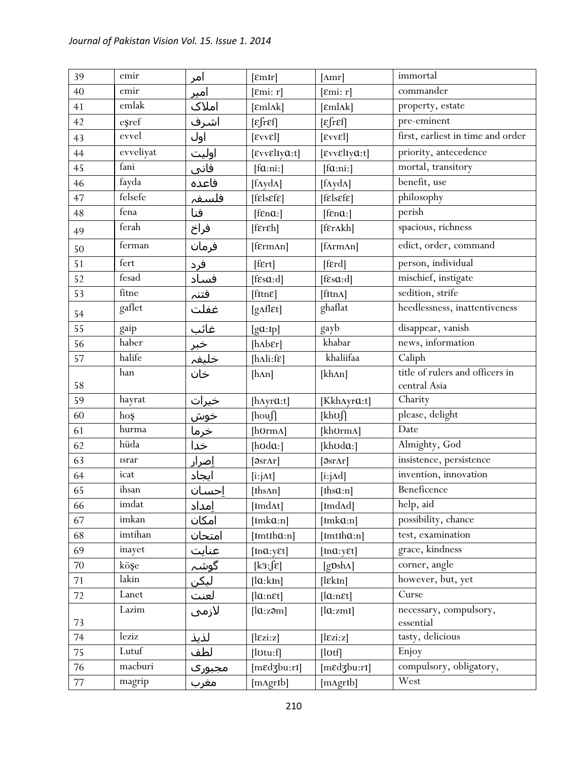| 39     | emir        | امر           | [EmIr]                            | $[{\rm Amr}]$                 | immortal                            |
|--------|-------------|---------------|-----------------------------------|-------------------------------|-------------------------------------|
| 40     | emir        | <u>امیر</u>   | [Emi: r]                          | [Emi: r]                      | commander                           |
| 41     | emlak       | املاک         | $[\text{emlak}]$                  | $[\text{emlak}]$              | property, estate                    |
| 42     | eşref       | اشرف          | $[\epsilon$ fr $\epsilon$ f]      | $[\epsilon$ fr $\epsilon$ f]  | pre-eminent                         |
| 43     | evvel       | اول           | $[\text{E}vv\text{E}]$            | $[\text{E}vv\text{E}]$        | first, earliest in time and order   |
| 44     | evveliyat   | اوليت         | $[$ εννεlιγα:t]                   | $[evv$ <i>Elya</i> :t]        | priority, antecedence               |
| 45     | fani        | فانی          | [fa:ni.]                          | [fa:ni:]                      | mortal, transitory                  |
| 46     | fayda       | فاعده         | $[f\Lambda y d\Lambda]$           | $[f\Lambda y d\Lambda]$       | benefit, use                        |
| 47     | felsefe     | فلسفہ         | $[f$ <i>E</i> $]$ s $E$ $F$ $F$   | $[f$ <i>e</i> $]$ s $[g]$     | philosophy                          |
| 48     | fena        | فنا           | $[$ f $\epsilon$ na: $]$          | $[$ f $\epsilon$ na: $]$      | perish                              |
| 49     | ferah       | فراخ          | $[fer\$                           | [frankh]                      | spacious, richness                  |
| 50     | ferman      | فرمان         | [fɛrmʌn]                          | [fArmAn]                      | edict, order, command               |
| 51     | fert        | فرد           | $[$ f $\epsilon$ rt $]$           | [ferd]                        | person, individual                  |
| 52     | fesad       | فساد          | [fsa:d]                           | [ $f\in s\alpha:d$ ]          | mischief, instigate                 |
| 53     | fitne       | فتنم          | $[$ fItn $\varepsilon]$           | [ftnA]                        | sedition, strife                    |
| 54     | gaflet      | غفلت          | [g^flɛt]                          | ghaflat                       | heedlessness, inattentiveness       |
| 55     | gaip        | <u>غائب</u>   | [ga:Ip]                           | gayb                          | disappear, vanish                   |
| 56     | haber       |               | $[h\Lambda b\epsilon r]$          | khabar                        | news, information                   |
| 57     | halife      | خبر<br>خليفہ  | [ $h\Lambda$ li:f $\varepsilon$ ] | khaliifaa                     | Caliph                              |
|        | han         | خان           | [hAn]                             | [khAn]                        | title of rulers and officers in     |
| 58     |             |               |                                   |                               | central Asia                        |
| 59     | hayrat      | <u>خیرات</u>  | [ $h$ Ayr $a$ :t]                 | [Kkh^yra:t]                   | Charity                             |
| 60     | hoş         | <u>خوش</u>    | [houf]                            | $[kh\sigma]$                  | please, delight                     |
| 61     | hurma       | <u>خرما</u>   | [hʊrmʌ]                           | [khʊrmʌ]                      | Date                                |
| 62     | hüda        | خدا           | [ $h\text{od}\mathfrak{a}$ :]     | [kh $\upsilon$ da:]           | Almighty, God                       |
| 63     | <i>srar</i> | <u>اِصرار</u> | $[3sr\Lambda r]$                  | $[3sr\Lambda r]$              | insistence, persistence             |
| 64     | icat        | ايجاد         | [i:jAt]                           | $[i:j \land d]$               | invention, innovation               |
| 65     | ihsan       | احسان         | [Ihs $An$ ]                       | [Ihs $a:n$ ]                  | Beneficence                         |
| 66     | imdat       | امداد         | [Imd $\Lambda t$ ]                | [Imd $\Lambda$ d]             | help, aid                           |
| 67     | imkan       | امكان         | $[Imk\alpha:n]$                   | $[Imk\alpha:n]$               | possibility, chance                 |
| 68     | imtihan     | امتحان        | $[Imth\alpha:n]$                  | $[Imth\alpha:n]$              | test, examination                   |
| 69     | inayet      | ِ<br>عنایت    | [ $ln a: y \in t$ ]               | [ $Ina: y \in t$ ]            | grace, kindness                     |
| 70     | köşe        | گوشہ<br>لیکن  | [k3:5c]                           | $[g \mathbf{D} \sh{\Lambda}]$ | corner, angle                       |
| 71     | lakin       |               | [la:kIn]                          | $[$ l $\epsilon$ kIn]         | however, but, yet                   |
| 72     | Lanet       | لعنت          | $[la:n \varepsilon t]$            | $[la:n \in t]$                | Curse                               |
| 73     | Lazim       | لازمى         | [la:z <sub>2</sub> m]             | [la:zml]                      | necessary, compulsory,<br>essential |
| 74     | leziz       | لذيذ          | $[\text{lexi:z}]$                 | $[\text{lezi:z}]$             | tasty, delicious                    |
| 75     | Lutuf       | لطف           | $[$ l $_{\text{Out:}}$ f $]$      | $[$ lotf $]$                  | Enjoy                               |
| 76     | macburi     | مجبورې        | $[m \in d3b u: r1]$               | [medzbu:ri]                   | compulsory, obligatory,             |
| $77\,$ | magrip      | مغرب          | [mAgrIb]                          | [mAgrIb]                      | West                                |
|        |             |               |                                   |                               |                                     |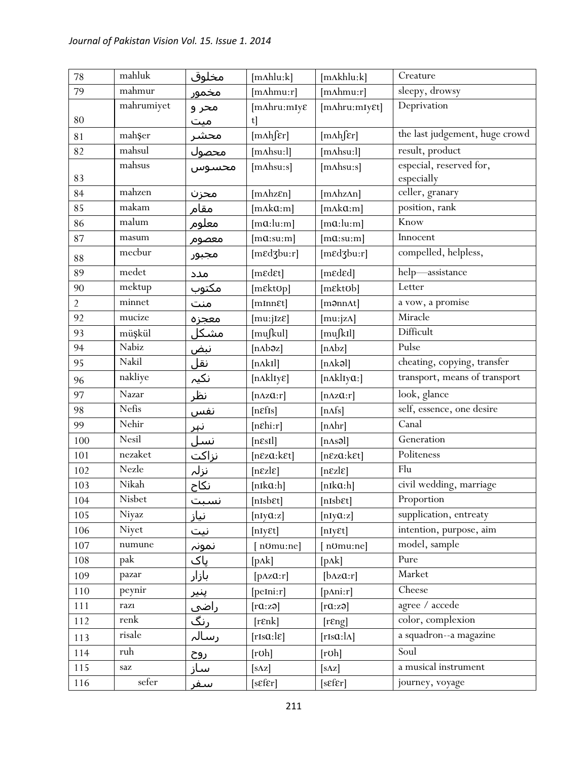| 78             | mahluk     | مخلوق                | $[m\Lambda h]$ lu: $k]$           | [mAkhlu:k]                        | Creature                       |
|----------------|------------|----------------------|-----------------------------------|-----------------------------------|--------------------------------|
| 79             | mahmur     | مخمور                | $[m\Lambda hmu:r]$                | $[m\Lambda hmu:r]$                | sleepy, drowsy                 |
|                | mahrumiyet | محر و                | $[m\Lambda hru:mIy\$              | [mAhru:mIy&t]                     | Deprivation                    |
| 80             |            | میت                  | t                                 |                                   |                                |
| 81             | mahşer     | محشر                 | $[m\Lambda h]$ $\epsilon$ r]      | $[m\Lambda h]$ $\epsilon$ r]      | the last judgement, huge crowd |
| 82             | mahsul     | محصول                | $[m{\rm Absu:}]$                  | $[m{\rm Absu:}]$                  | result, product                |
|                | mahsus     | محسوس                | $[m{\rm A}h s u:s]$               | $[m{\rm A}h s u:s]$               | especial, reserved for,        |
| 83             |            |                      |                                   |                                   | especially                     |
| 84             | mahzen     | محزن                 | $[m\Lambda hz\epsilon n]$         | [mAhzAn]                          | celler, granary                |
| 85             | makam      | مقام                 | $[mAk\alpha;m]$                   | $[mAk\alpha;m]$                   | position, rank                 |
| 86             | malum      | معلوم                | $[m\alpha:lu:m]$                  | $[m\alpha:lu:m]$                  | Know                           |
| 87             | masum      | معصوم                | $[m\alpha:su:m]$                  | $[m\mathfrak{a}:s\mathfrak{u}:m]$ | Innocent                       |
| 88             | mecbur     | مجبور                | [medzbu:r]                        | [medzbu:r]                        | compelled, helpless,           |
| 89             | medet      | مدد                  | [medet]                           | [mɛdɛd]                           | help-assistance                |
| 90             | mektup     | مکت <u>وب</u>        | [mɛktʊp]                          | [mɛktʊb]                          | Letter                         |
| $\overline{2}$ | minnet     | منت                  | [mInnet]                          | [m <b></b> ənnAt]                 | a vow, a promise               |
| 92             | mucize     | معجزه                | [mu:jIzE]                         | [ $mu:jzA$ ]                      | Miracle                        |
| 93             | müşkül     | <u>مشکل</u>          | [mußul]                           | [mu∫kIl]                          | Difficult                      |
| 94             | Nabiz      | نبض                  | $[nAb\partial z]$                 | [nAbz]                            | Pulse                          |
| 95             | Nakil      |                      | [nAkI]                            | [nAk3]                            | cheating, copying, transfer    |
| 96             | nakliye    |                      | $[n\Lambda k]$                    | [nAklIya:]                        | transport, means of transport  |
| 97             | Nazar      | نظر                  | $[n\Delta z\alpha:r]$             | $[n\Delta z\alpha:r]$             | look, glance                   |
| 98             | Nefis      | <u>نفس</u>           | [neffs]                           | [nAfs]                            | self, essence, one desire      |
| 99             | Nehir      | <u>نہر</u>           | $[nE\text{hi}:r]$                 | [nAhr]                            | Canal                          |
| 100            | Nesil      | نسل                  | $[n\epsilon s I]$                 | [nAs3]                            | Generation                     |
| 101            | nezaket    | <u>نزاکت</u><br>نزلہ | $[n\epsilon z\alpha:k\epsilon t]$ | $[n\epsilon z\alpha:k\epsilon t]$ | Politeness                     |
| 102            | Nezle      |                      | $[n\epsilon z]$                   | $[n\epsilon z]$                   | Flu                            |
| 103            | Nikah      | <u>نکاح</u>          | $[nik\alpha:h]$                   | $[nik\alpha:h]$                   | civil wedding, marriage        |
| 104            | Nisbet     | نسبت                 | [nIsbɛt]                          | [nIsbɛt]                          | Proportion                     |
| 105            | Niyaz      | <u>نیاز</u>          | [ $nIy@:z$ ]                      | [ $nIy@:z$ ]                      | supplication, entreaty         |
| 106            | Niyet      | نیت                  | [nIyEt]                           | [nIyEt]                           | intention, purpose, aim        |
| 107            | numune     | نمونہ                | n <sub>Omu:ne</sub> ]             | [n <sub>Omu:ne]</sub>             | model, sample                  |
| 108            | pak        | پاک                  | $[p\Lambda k]$                    | $[p\Lambda k]$                    | Pure                           |
| 109            | pazar      | بازار                | $[\text{pAzQ:}r]$                 | [ <i>b</i> Az@:r]                 | Market                         |
| 110            | peynir     | پنیر                 | $[$ peIni: $r]$                   | [ <i>p</i> Ani:r]                 | Cheese                         |
| 111            | razı       |                      | [raza]                            | [raza]                            | agree / accede                 |
| 112            | renk       | <u>راضی</u><br>رنگ   | $[r \epsilon n \epsilon]$         | [resp]                            | color, complexion              |
| 113            | risale     | رسالہ                | [rIsa:le]                         | $[rIs\alpha:\lambda]$             | a squadron--a magazine         |
| 114            | ruh        | <u>روح</u>           | [rob]                             | [rob]                             | Soul                           |
| 115            | saz        | ساز                  | $[s\Delta z]$                     | $[s\Delta z]$                     | a musical instrument           |
| 116            | sefer      | سفر                  | $[sf\$                            | $[sf\$                            | journey, voyage                |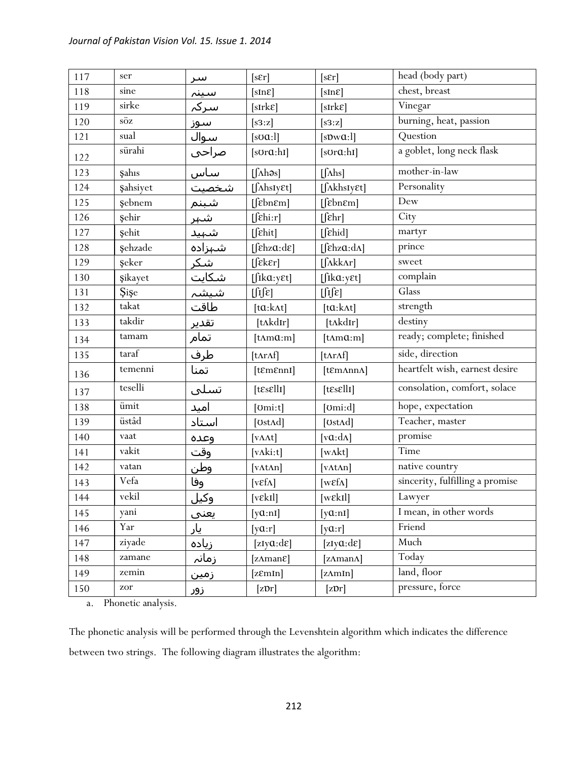| 117 | ser              | سر          | [sEr]                                                                                                                                                                                                                                                                                                                                                                                                                                                     | $[s\epsilon r]$                               | head (body part)                |
|-----|------------------|-------------|-----------------------------------------------------------------------------------------------------------------------------------------------------------------------------------------------------------------------------------------------------------------------------------------------------------------------------------------------------------------------------------------------------------------------------------------------------------|-----------------------------------------------|---------------------------------|
| 118 | sine             | سينہ        | [sInE]                                                                                                                                                                                                                                                                                                                                                                                                                                                    | $[sIn\epsilon]$                               | chest, breast                   |
| 119 | sirke            | سركہ        | $[sIrk\epsilon]$                                                                                                                                                                                                                                                                                                                                                                                                                                          | $[sIrk\epsilon]$                              | Vinegar                         |
| 120 | $s\ddot{o}z$     | سوز         | [ss:z]                                                                                                                                                                                                                                                                                                                                                                                                                                                    | [s3:z]                                        | burning, heat, passion          |
| 121 | sual             | <u>سوال</u> | $[s\sigma a:1]$                                                                                                                                                                                                                                                                                                                                                                                                                                           | [sDwQ:1]                                      | Question                        |
| 122 | sürahi           | صراحي       | $[s$ Ur $a$ :hI]                                                                                                                                                                                                                                                                                                                                                                                                                                          | $[s$ Ur $a$ :hI]                              | a goblet, long neck flask       |
| 123 | Şahıs            | سا <u>س</u> | $[\int \Lambda h \partial s]$                                                                                                                                                                                                                                                                                                                                                                                                                             | $[\int$ Ahs]                                  | mother-in-law                   |
| 124 | <b>ş</b> ahsiyet | شخصيت       | $[\int \Lambda h s I y \epsilon t]$                                                                                                                                                                                                                                                                                                                                                                                                                       | $[$ <i>[AkhsIy&amp;t]</i>                     | Personality                     |
| 125 | şebnem           | شبنم        | [febnem]                                                                                                                                                                                                                                                                                                                                                                                                                                                  | $[$ [ $\varepsilon$ bn $\varepsilon$ m]       | Dew                             |
| 126 | şehir            | <u>شىر</u>  | $[f\in\mathbb{R}]$                                                                                                                                                                                                                                                                                                                                                                                                                                        | $[$ $[$ $\varepsilon$ hr $]$                  | City                            |
| 127 | <b>ş</b> ehit    | شہید        | $[$ $[$ $\epsilon$ hit]                                                                                                                                                                                                                                                                                                                                                                                                                                   | $[f$ chid]                                    | martyr                          |
| 128 | <b>şehzade</b>   | شېزاده      | $[fekz\alpha:de]$                                                                                                                                                                                                                                                                                                                                                                                                                                         | [fekza:da]                                    | prince                          |
| 129 | şeker            | <u>شكر</u>  | $[f\epsilon k \epsilon r]$                                                                                                                                                                                                                                                                                                                                                                                                                                | $\left[\int \Lambda k k \Lambda r\right]$     | sweet                           |
| 130 | <b>şikayet</b>   | شكايت       | $[$ fika:y $\varepsilon t]$                                                                                                                                                                                                                                                                                                                                                                                                                               | $[$ fika:y $\varepsilon t]$                   | complain                        |
| 131 | <b>Sise</b>      | شيشہ        | $\iint\!\!\!\!\!\int\!\!\!\!\!\!\int\!\!\!\!\!\!\int\!\!\!\!\!\!\int\!\!\!\!\!\int\!\!\!\!\!\int\!\!\!\!\int\!\!\!\!\int\!\!\!\!\int\!\!\!\!\int\!\!\!\!\int\!\!\!\!\int\!\!\!\!\int\!\!\!\!\int\!\!\!\!\int\!\!\!\!\int\!\!\!\!\int\!\!\!\!\int\!\!\!\int\!\!\!\int\!\!\!\int\!\!\!\int\!\!\!\int\!\!\!\int\!\!\!\int\!\!\!\int\!\!\!\int\!\!\!\int\!\!\!\int\!\!\!\int\!\!\!\int\!\!\!\int\!\!\!\int\!\!\!\int\!\!\!\int\!\!\!\int\!\!\!\int\!\!\!\int$ | $\iint \mathcal{E}$                           | Glass                           |
| 132 | takat            | طاقت        | $[ta:k\Lambda t]$                                                                                                                                                                                                                                                                                                                                                                                                                                         | $[ta:k\Lambda t]$                             | strength                        |
| 133 | takdir           | تقدير       | [tʌkdɪr]                                                                                                                                                                                                                                                                                                                                                                                                                                                  | [tʌkdɪr]                                      | destiny                         |
| 134 | tamam            | تمام        | $[t\Lambda m\alpha:m]$                                                                                                                                                                                                                                                                                                                                                                                                                                    | $[t\text{A}m\alpha;m]$                        | ready; complete; finished       |
| 135 | taraf            | طرف         | [tnrAf]                                                                                                                                                                                                                                                                                                                                                                                                                                                   | [tArAf]                                       | side, direction                 |
| 136 | temenni          | تمنا        | $[$ t $\mathcal{E}$ m $\mathcal{E}$ nnI]                                                                                                                                                                                                                                                                                                                                                                                                                  | $[$ t $\mathcal{E}$ m $\Lambda$ nn $\Lambda]$ | heartfelt wish, earnest desire  |
| 137 | teselli          | تسلى        | $[t\epsilon s \epsilon llI]$                                                                                                                                                                                                                                                                                                                                                                                                                              | $[t\epsilon s \epsilon llI]$                  | consolation, comfort, solace    |
| 138 | ümit             | امید        | [ <i>l</i> om: <i>t</i> ]                                                                                                                                                                                                                                                                                                                                                                                                                                 | $[{\rm Omi: d}]$                              | hope, expectation               |
| 139 | üstâd            | استاد       | [ $Ust\Lambda d$ ]                                                                                                                                                                                                                                                                                                                                                                                                                                        | [ $Ust\Lambda d$ ]                            | Teacher, master                 |
| 140 | vaat             | وعده        | [ $V\Lambda\Lambda t$ ]                                                                                                                                                                                                                                                                                                                                                                                                                                   | [ $v\alpha$ : $d\Lambda$ ]                    | promise                         |
| 141 | vakit            | وقت         | [ $v\Lambda$ ki:t]                                                                                                                                                                                                                                                                                                                                                                                                                                        | [ $w$ $\Lambda$ kt]                           | Time                            |
| 142 | vatan            | وطن         | [ $vAt\Lambda n$ ]                                                                                                                                                                                                                                                                                                                                                                                                                                        | $[\text{vAtAn}]$                              | native country                  |
| 143 | Vefa             | وفا         | [ $v \in f \Lambda$ ]                                                                                                                                                                                                                                                                                                                                                                                                                                     | [ $w\epsilon f\Lambda$ ]                      | sincerity, fulfilling a promise |
| 144 | vekil            | <u>وکيل</u> | [vek1]                                                                                                                                                                                                                                                                                                                                                                                                                                                    | [w&Il]                                        | Lawyer                          |
| 145 | yani             | يعني        | $[y\alpha:n]$                                                                                                                                                                                                                                                                                                                                                                                                                                             | $[\text{y}a:\text{nl}]$                       | I mean, in other words          |
| 146 | Yar              | یار         | [ya:r]                                                                                                                                                                                                                                                                                                                                                                                                                                                    | [ya:r]                                        | Friend                          |
| 147 | ziyade           | زياده       | [ $zIy@:d\varepsilon$ ]                                                                                                                                                                                                                                                                                                                                                                                                                                   | [ $zIy@:d\varepsilon$ ]                       | Much                            |
| 148 | zamane           | زمانہ       | [ $z\Lambda$ man $\varepsilon$ ]                                                                                                                                                                                                                                                                                                                                                                                                                          | [zAmanA]                                      | Today                           |
| 149 | zemin            | زمین        | [zEmIn]                                                                                                                                                                                                                                                                                                                                                                                                                                                   | [zAmIn]                                       | land, floor                     |
| 150 | zor              | زور         | $[z\mathfrak{D}r]$                                                                                                                                                                                                                                                                                                                                                                                                                                        | $[z\mathfrak{D}r]$                            | pressure, force                 |

a. Phonetic analysis.

The phonetic analysis will be performed through the Levenshtein algorithm which indicates the difference between two strings. The following diagram illustrates the algorithm: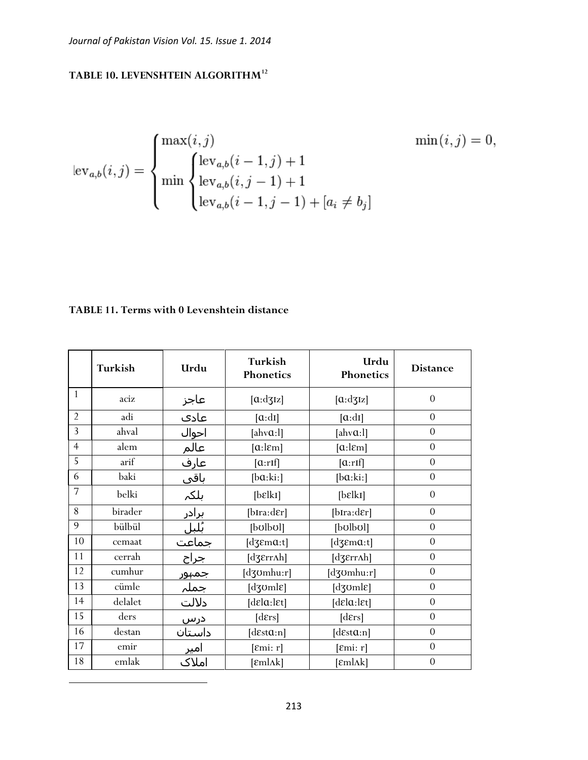# **TABLE 10. LEVENSHTEIN ALGORITHM<sup>12</sup>**

$$
\text{lev}_{a,b}(i,j) = \begin{cases} \max(i,j) & \min(i,j) = 0, \\ \min \begin{cases} \text{lev}_{a,b}(i-1,j)+1 \\ \text{lev}_{a,b}(i,j-1)+1 \\ \text{lev}_{a,b}(i-1,j-1)+[a_i \neq b_j] \end{cases} \end{cases}
$$

## **TABLE 11. Terms with 0 Levenshtein distance**

|                | Turkish | Urdu                  | Turkish<br>Phonetics                                           | Urdu<br>Phonetics             | <b>Distance</b> |
|----------------|---------|-----------------------|----------------------------------------------------------------|-------------------------------|-----------------|
| $\mathbf{1}$   | aciz    | عاجز                  | $[\alpha: dy]$                                                 | [a:dz]                        | $\Omega$        |
| $\overline{2}$ | adi     | عادي                  | $[\alpha : dI]$                                                | $[\alpha: dI]$                | $\overline{0}$  |
| $\overline{3}$ | ahval   | احوال                 | [ahv $a:$ ]]                                                   | [ahv $a:$ ]]                  | $\overline{0}$  |
| $\overline{4}$ | alem    | عالم                  | $[a:\mathsf{lem}]$                                             | $[a:l\epsilon m]$             | $\overline{0}$  |
| 5              | arif    | عارف                  | $[\alpha:\text{rIf}]$                                          | $[\alpha:\text{rIf}]$         | $\overline{0}$  |
| 6              | baki    | باقی                  | [ba:ki:]                                                       | [ba:ki:]                      | $\overline{0}$  |
| $\overline{7}$ | belki   | بلكہ                  | [b <sub>ε</sub> ]                                              | [b <sub>ε</sub> ]             | $\theta$        |
| 8              | birader |                       | [bIra:dɛr]                                                     | $[b\text{Ira:der}]$           | $\theta$        |
| 9              | bülbül  | <u>برادر</u><br>بُلبل | [bolbol]                                                       | [bolbol]                      | $\overline{0}$  |
| 10             | cemaat  | جماعت                 | [dʒɛm $a$ :t]                                                  | [d $3\text{Em}a:t$ ]          | $\overline{0}$  |
| 11             | cerrah  | جراح                  | [dʒɛrrʌh]                                                      | $[d\mathfrak{Z}Err\Lambda h]$ | $\overline{0}$  |
| 12             | cumhur  | جمہور                 | $[d$ 30mhu:r]                                                  | [dʒʊmhu:r]                    | $\overline{0}$  |
| 13             | cümle   | جملہ                  | $[d$ zoml $\varepsilon]$                                       | [dʒʊmlɛ]                      | $\overline{0}$  |
| 14             | delalet | دلالت                 | $\lbrack \text{d} \epsilon \rbrack a:\rbrack \epsilon \rbrack$ | [dɛlɑ:lɛt]                    | $\Omega$        |
| 15             | ders    | درس                   | [ders]                                                         | [ders]                        | $\theta$        |
| 16             | destan  | داستان                | [desta:n]                                                      | [d $\epsilon$ sta:n]          | $\theta$        |
| 17             | emir    | امیر                  | $[\text{Emi: r}]$                                              | $[\text{\textsterling}m: r]$  | $\overline{0}$  |
| 18             | emlak   | املاک                 | $[\text{emlak}]$                                               | [εmlΛk]                       | $\overline{0}$  |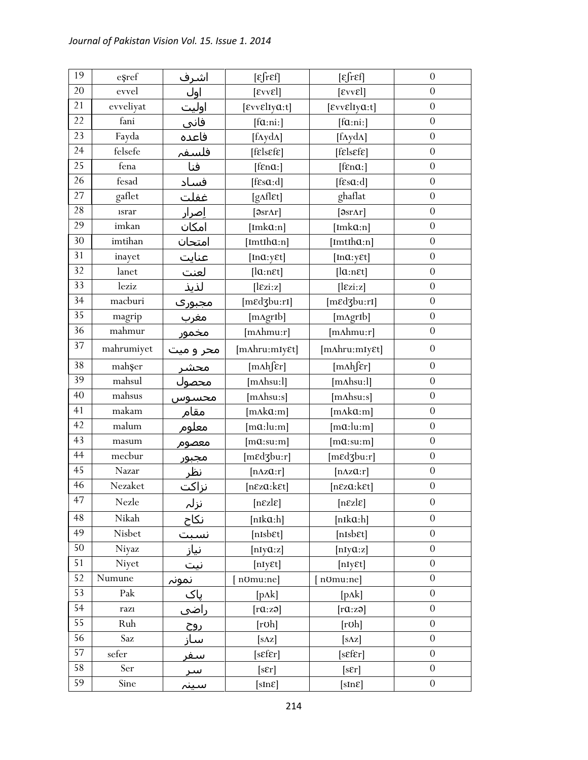| 19 | esref       | <u>اشرف</u>          | $\epsilon$ fr $\epsilon$ f]       | $[\epsilon$ fref]             | $\boldsymbol{0}$ |
|----|-------------|----------------------|-----------------------------------|-------------------------------|------------------|
| 20 | evvel       | اول                  | $[\text{E}vv\text{E}]$            | $[\text{E}v\text{v}\text{E}]$ | $\boldsymbol{0}$ |
| 21 | evveliyat   | اوليت                | $[$ εννεlιγα:t]                   | $[$ εννεlιγα:t]               | $\boldsymbol{0}$ |
| 22 | fani        | فانی                 | [fa:n:]                           | [fa:ni.]                      | $\boldsymbol{0}$ |
| 23 | Fayda       | فاعده                | [fAydA]                           | [fAydA]                       | $\theta$         |
| 24 | felsefe     | فلسفہ                | $[f$ <i>E</i> ls $E$ f $E$ ]      | $[f$ <i>E</i> ls $E$ f $E$ ]  | $\boldsymbol{0}$ |
| 25 | fena        | فنا                  | $[$ f $\epsilon$ na: $]$          | $[$ f $\epsilon$ na: $]$      | $\boldsymbol{0}$ |
| 26 | fesad       | فساد                 | $[fs\alpha:d]$                    | [ $f\epsilon s\alpha:d$ ]     | $\overline{0}$   |
| 27 | gaflet      | غفلت                 | $[g\Lambda f]$ Et]                | ghaflat                       | $\boldsymbol{0}$ |
| 28 | <i>srar</i> | <u>ا</u> صرار        | $[9sr\Lambda r]$                  | [ƏsrAr]                       | $\overline{0}$   |
| 29 | imkan       | امكان                | $[Imk\alpha:n]$                   | $[Imk\alpha:n]$               | $\boldsymbol{0}$ |
| 30 | imtihan     | امتحان               | $[Imth\alpha:n]$                  | [ImtIh $a$ :n]                | $\boldsymbol{0}$ |
| 31 | inayet      | <u>عنایت</u><br>لعنت | [ $ln a: y \in t$ ]               | $[Ima: y \epsilon t]$         | $\overline{0}$   |
| 32 | lanet       |                      | $[la:n \epsilon t]$               | $[la:n \varepsilon t]$        | $\boldsymbol{0}$ |
| 33 | leziz       | لذيذ                 | $[\text{lezi:z}]$                 | [lex:z]                       | $\boldsymbol{0}$ |
| 34 | macburi     | مجبورې               | [mɛdʒbu:rI]                       | [mɛdʒbu:rI]                   | $\boldsymbol{0}$ |
| 35 | magrip      | <u>مغرب</u>          | [mAgrIb]                          | [mAgrIb]                      | $\boldsymbol{0}$ |
| 36 | mahmur      | مخمور                | [mAhmu:r]                         | $[m\Lambda hmu:r]$            | $\theta$         |
| 37 | mahrumiyet  | محر و میت            | [mAhru:mIy&t]                     | [mAhru:mIy&t]                 | $\overline{0}$   |
| 38 | mahşer      | <u>محشر</u>          | [m∧h∫ɛr]                          | [m∧h∫ɛr]                      | $\overline{0}$   |
| 39 | mahsul      | محصول                | $[m{\rm Ahsu:l}]$                 | $[m{\Lambda}hsu:1]$           | $\boldsymbol{0}$ |
| 40 | mahsus      | محسوس                | $[m{\rm A}h{\rm su}\:s]$          | $[m{\rm A}h{\rm su}\:s]$      | $\boldsymbol{0}$ |
| 41 | makam       | مقام                 | [mAka:m]                          | [mAka:m]                      | $\boldsymbol{0}$ |
| 42 | malum       | معلوم                | $[m\alpha:lu:m]$                  | $[m\alpha:lu:m]$              | $\boldsymbol{0}$ |
| 43 | masum       | معصوم                | $[m\alpha:\sin:m]$                | $[m\alpha:su:m]$              | $\overline{0}$   |
| 44 | mecbur      | مجبور                | [medzbu:r]                        | [mɛdʒbu:r]                    | $\boldsymbol{0}$ |
| 45 | Nazar       | نظر                  | $[n\Delta z\alpha:\mathbf{r}]$    | $[n\Delta z\alpha:r]$         | $\boldsymbol{0}$ |
| 46 | Nezaket     | نزاكت                | $[n\epsilon z\alpha:k\epsilon t]$ | [nɛzɑ:kɛt]                    | $\theta$         |
| 47 | Nezle       | نزلہ                 | $[n\epsilon z]$                   | $[n\epsilon z]$               | $\boldsymbol{0}$ |
| 48 | Nikah       | نكاح                 | $[nik\alpha:h]$                   | $[nik\alpha:h]$               | $\theta$         |
| 49 | Nisbet      | نسبت                 | $[nIsb\epsilon t]$                | [nIsbEt]                      | $\boldsymbol{0}$ |
| 50 | Niyaz       | نیاز                 | [nIyQ:z]                          | [nIyQ:z]                      | $\boldsymbol{0}$ |
| 51 | Niyet       | نيت                  | [nIyEt]                           | [nIyEt]                       | $\boldsymbol{0}$ |
| 52 | Numune      | <u>نمونہ</u>         | n <sub>Umu:ne</sub> ]             | nomu:nel                      | $\boldsymbol{0}$ |
| 53 | Pak         | پاک                  | $[p\Lambda k]$                    | $[p\Lambda k]$                | $\boldsymbol{0}$ |
| 54 | razı        | _____<br><u>راضي</u> | [raza]                            | [raza]                        | $\theta$         |
| 55 | Ruh         | <u>روح</u>           | [rob]                             | [rob]                         | $\boldsymbol{0}$ |
| 56 | Saz         | ساز                  | $[s\Delta z]$                     | $[s\Delta z]$                 | $\boldsymbol{0}$ |
| 57 | sefer       | <u>سفر</u>           | $[sEf\epsilon r]$                 | [sEfEr]                       | $\theta$         |
| 58 | Ser         | <u>س</u> ر           | $[s\epsilon r]$                   | [sEr]                         | $\overline{0}$   |
| 59 | Sine        | سينہ                 | [sInE]                            | [sInE]                        | $\boldsymbol{0}$ |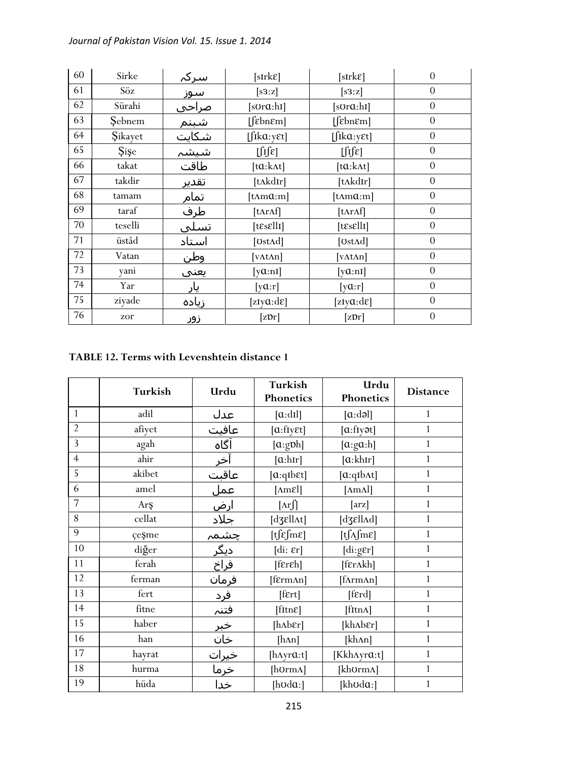| 60 | Sirke          | <u>سرکہ</u>        | $[sIrk\epsilon]$         | $[sIrk\epsilon]$                        | $\theta$         |
|----|----------------|--------------------|--------------------------|-----------------------------------------|------------------|
| 61 | Söz            | ___<br>س <u>وز</u> | [s3:z]                   | [s3:z]                                  | $\theta$         |
| 62 | Sürahi         | <u> صراحی</u>      | [sʊrɑ:hɪ]                | $[s$ Ur $a$ :hI]                        | $\overline{0}$   |
| 63 | Sebnem         | شبنم               | $[febn\epsilon m]$       | $[$ [ $\varepsilon$ bn $\varepsilon$ m] | $\theta$         |
| 64 | <b>Sikayet</b> | <u>شکایت</u>       | $[$ fika:y $\epsilon t]$ | $[$ fika:y $\epsilon t]$                | $\overline{0}$   |
| 65 | <b>Sise</b>    | شيشہ               | $\iint \mathbf{E}$       | $\iint \mathbf{E}$                      | $\overline{0}$   |
| 66 | takat          | طاقت               | $[ta:k\Lambda t]$        | $[ta:k\Lambda t]$                       | $\overline{0}$   |
| 67 | takdir         | تقدي <u>ر</u>      | [tʌkdɪr]                 | [tʌkdɪr]                                | $\overline{0}$   |
| 68 | tamam          | تمام               | [tAma:m]                 | $[t\Lambda m\alpha:m]$                  | $\theta$         |
| 69 | taraf          | طرف                | [tʌrʌf]                  | $[t\Lambda r\Lambda f]$                 | $\overline{0}$   |
| 70 | teselli        | تسلى               | $[t\epsilon s \epsilon]$ | $[t\epsilon s \epsilon ll1]$            | $\theta$         |
| 71 | üstâd          | استاد              | [UstAd]                  | [UstAd]                                 | $\theta$         |
| 72 | Vatan          | <u>وطن</u>         | $[\text{vAtAn}]$         | $[\text{vAtAn}]$                        | $\overline{0}$   |
| 73 | yani           | يعني               | $[\text{yQ:} \text{nI}]$ | $[\text{yQ:} \text{nI}]$                | $\boldsymbol{0}$ |
| 74 | Yar            | یار                | [ya:r]                   | [ya:r]                                  | $\theta$         |
| 75 | ziyade         | زياده              | [zIy $a: d\varepsilon$ ] | [zIy $a: d\varepsilon$ ]                | $\theta$         |
| 76 | zor            | زور                | $[z\mathfrak{D}r]$       | [z <sub>pr</sub> ]                      | $\boldsymbol{0}$ |

## **TABLE 12. Terms with Levenshtein distance 1**

|                | Turkish | Urdu                 | Turkish<br>Phonetics                          | Urdu<br>Phonetics                           | <b>Distance</b> |
|----------------|---------|----------------------|-----------------------------------------------|---------------------------------------------|-----------------|
| $\mathbf{1}$   | adil    | عدل                  | [a:dl]                                        | [a:dd]                                      | 1               |
| $\overline{2}$ | afiyet  | عافيت                | [a:flyEt]                                     | [a:fly <sub>3</sub> ]                       | 1               |
| $\overline{3}$ | agah    | آگاه                 | [a:gph]                                       | [a:ga:h]                                    | $\mathbf{1}$    |
| $\overline{4}$ | ahir    | <u>آخر</u>           | [a:hr]                                        | [a:khIr]                                    | $\mathbf{1}$    |
| $\overline{5}$ | akibet  | عاقبت                | $[a:qib \epsilon t]$                          | $[a:qib \wedge t]$                          | $\mathbf{1}$    |
| 6              | amel    | عمل                  | $[\text{Am}$ el]                              | $[\text{A} \text{m} \text{A}]$              | $\mathbf{1}$    |
| $\overline{7}$ | Arş     | <u>ارض</u>           | $[\text{Ar}$                                  | $\left[\arg\left[\frac{1}{2}\right]\right]$ | $\mathbf{1}$    |
| 8              | cellat  | جلاد                 | [dʒɛllʌt]                                     | [dʒɛllʌd]                                   | 1               |
| 9              | çeŞme   | <u>چشمہ</u><br>دیگر  | $[t]$ $\epsilon$ fm $\epsilon$ ]              | $[t\int_A fm\epsilon]$                      | 1               |
| 10             | diğer   |                      | $\left[ \mathrm{di}\colon \epsilon r\right]$  | $[di:g\epsilon r]$                          | $\mathbf{1}$    |
| 11             | ferah   | فراخ                 | $[{\rm f\epsilon r\epsilon h}]$               | [frankh]                                    | 1               |
| 12             | ferman  | فرمان                | [fɛrmʌn]                                      | [fnrmAn]                                    | $\mathbf{1}$    |
| 13             | fert    | فرد                  | $[$ f $\epsilon$ rt $]$                       | [ferd]                                      | 1               |
| 14             | fitne   | <u>فتنہ</u>          | $[{\text{f}}{\text{I}}{\text{tr}}{\text{E}}]$ | [fItnA]                                     | $\mathbf{1}$    |
| 15             | haber   |                      | $[h\Lambda b\epsilon r]$                      | [khʌbɛr]                                    | $\mathbf{1}$    |
| 16             | han     | خبر<br>خان           | [hAn]                                         | [kh^n]                                      | $\mathbf{1}$    |
| 17             | hayrat  | <u>خیرات</u><br>خرما | [ $h\text{A}yra:t$ ]                          | [Kkh^yra:t]                                 | 1               |
| 18             | hurma   |                      | [hʊrmʌ]                                       | [khʊrmʌ]                                    | 1               |
| 19             | hüda    | خدا                  | [ $h$ $o$ d $a$ :]                            | [khʊdɑ:]                                    | 1               |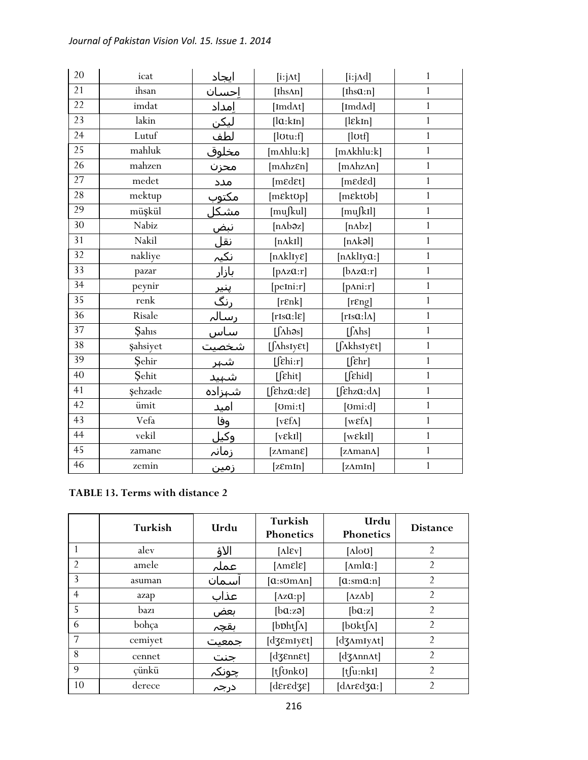| 20              | icat            | ایجاد                                                         | $[i:j \Delta t]$                  | $[i:j \land d]$                                      | $\mathbf{1}$  |
|-----------------|-----------------|---------------------------------------------------------------|-----------------------------------|------------------------------------------------------|---------------|
| 21              | ihsan           | إحسان                                                         | [Ihs $An$ ]                       | [Ihs $a:n$ ]                                         | $\mathbf{1}$  |
| 22              | imdat           | إمداد                                                         | [ImdAt]                           | [ImdAd]                                              | $\mathbf{1}$  |
| 23              | lakin           | <u>ليكن</u>                                                   | [la:kIn]                          | $[$ l $\epsilon$ kIn]                                | $\mathbf{1}$  |
| 24              | Lutuf           | <u>لطف</u>                                                    | [lotu:f]                          | [lotf]                                               | $\mathbf{1}$  |
| $\overline{25}$ | mahluk          |                                                               | $[m\Lambda\text{hlu:}\mathbf{k}]$ | [mAkhlu:k]                                           | $\mathbf{1}$  |
| 26              | mahzen          | محزن                                                          | $[m\Lambda hz\epsilon n]$         | [mhzAn]                                              | $\mathbf{1}$  |
| 27              | medet           | مدد                                                           | [medet]                           | [mɛdɛd]                                              | $\mathbf{1}$  |
| 28              | mektup          | <u>مکتوب</u>                                                  | [mɛktʊp]                          | $[m$ <i>EktOb</i> ]                                  | $\mathbbm{1}$ |
| 29              | müşkül          | <u>سعوب</u><br>مشک <u>ل</u><br>نبض<br>نکیہ<br>بازار           | [mußul]                           | [muʃkɪl]                                             | $\mathbf{1}$  |
| 30              | Nabiz           |                                                               | [nAbəz]                           | [nAbz]                                               | $\mathbf{1}$  |
| 31              | Nakil           |                                                               | [nAkI]                            | [nAkə]                                               | $\mathbf{1}$  |
| 32              | nakliye         |                                                               | $[n\text{Akl}$ Iy $\varepsilon]$  | [nAklIya:]                                           | $\mathbf{1}$  |
| 33              | pazar           |                                                               | $[p\Delta z\mathfrak{a}:r]$       | [ <b>bAzQ</b> : <b>r</b> ]                           | $\mathbf{1}$  |
| 34              | peynir          | خر<br>پنیر<br>رنگ<br>رسالہ<br>شہین<br>شہید<br>شہید<br>شہیدادہ | $[$ peIni:r $]$                   | [ <i>p</i> Ani:r]                                    | $\mathbf{1}$  |
| 35              | renk            |                                                               | [ <b>ref</b>                      | [resp]                                               | $\mathbf{1}$  |
| 36              | Risale          |                                                               | $[ris\alpha:l\varepsilon]$        | $[rIs\alpha:\lambda]$                                | $\mathbf{1}$  |
| 37              | Sahıs           |                                                               | $[\int \Lambda h \partial s]$     | $[\int \Lambda$ hs]                                  | $\mathbf{1}$  |
| 38              | <b>şahsiyet</b> |                                                               | [ShsIy&t]                         | $[$ <i>[AkhsIy&amp;t]</i>                            | $\mathbf{1}$  |
| 39              | Sehir           |                                                               | $\lfloor \int \epsilon \ln  x $   | $\lceil$ $\lceil$ $\varepsilon$ hr]                  | $\mathbf{1}$  |
| 40              | Sehit           |                                                               | $[$ [ $\epsilon$ hit]             | $[f$ chid]                                           | $\mathbf{1}$  |
| 41              | <b>şehzade</b>  |                                                               | [fekza:de]                        | [ $\left[\int \epsilon h z \alpha : d\Lambda\right]$ | $\mathbf{1}$  |
| $\overline{42}$ | ümit            | <u>امید</u>                                                   | [ <i>l</i> om: <i>t</i> ]         | [ʊmi:d]                                              | $\mathbf{1}$  |
| 43              | Vefa            | وفا                                                           | [ $v \in f \Lambda$ ]             | [ $w\epsilon f\Lambda$ ]                             | $\mathbf{1}$  |
| 44              | vekil           | <u>وکيل</u>                                                   | [vek1]                            | $[we$ k <sub>I</sub> l]                              | $\mathbf{1}$  |
| 45              | zamane          | <u>زمانہ</u>                                                  | [zAman <sub>8</sub> ]             | [zAmanA]                                             | $\mathbf{1}$  |
| 46              | zemin           | <u>زمین</u>                                                   | [zEmin]                           | [zAmIn]                                              | $\mathbf{1}$  |

# **TABLE 13. Terms with distance 2**

|                | Turkish | Urdu         | Turkish<br><b>Phonetics</b>        | Urdu<br>Phonetics      | <b>Distance</b> |
|----------------|---------|--------------|------------------------------------|------------------------|-----------------|
|                | alev    | الاؤ         | $[\text{Alex}]$                    | $[\text{Alo}0]$        | $\overline{2}$  |
| $\mathfrak{D}$ | amele   | عملہ         | $[\text{Amel}\varepsilon]$         | $[{\rm \Lambda m}]a$ : | $\overline{2}$  |
| 3              | asuman  | اسمان        | $[a:som$ An]                       | [a:ma:n]               | 2               |
| $\overline{4}$ | azap    | عذاب         | [ $\Delta z \mathfrak{a}$ :p]      | $[\Delta z \Delta b]$  | $\overline{2}$  |
| 5              | bazı    | بعض          | [ba:zə]                            | [ba:z]                 | $\overline{2}$  |
| 6              | bohça   | بقجم         | $[b\nabla h[f\Lambda]]$            | [bot[ <sub>Λ</sub> ]   | $\overline{2}$  |
| $\overline{7}$ | cemiyet | جمعیت        | $[d\mathfrak{Z}emI\mathfrak{F}t]$  | [d3AmIyAt]             | $\overline{2}$  |
| 8              | cennet  | جنت          | $[d\mathfrak{Z}$ <i>EnnEt</i> ]    | $[d \text{ZAnnAt}]$    | $\mathfrak{D}$  |
| 9              | çünkü   | <u>چونکہ</u> | $[t]$ OnkO]                        | [t[u:nk1]              | $\overline{2}$  |
| 10             | derece  | درجہ         | $[d\epsilon r \epsilon d\epsilon]$ | [dʌrɛdʒɑ:]             | $\overline{2}$  |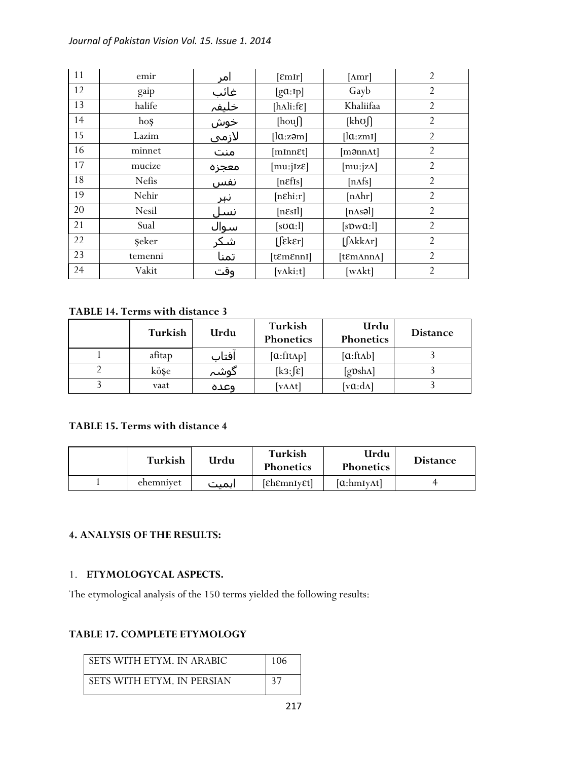| 11 | emir    | امر   | [EmIr]                                      | $[\text{Amr}]$                 | $\overline{2}$ |
|----|---------|-------|---------------------------------------------|--------------------------------|----------------|
| 12 | gaip    | غائب  | [ga:Ip]                                     | Gayb                           | $\overline{2}$ |
| 13 | halife  | خليفہ | $[h\Lambda]$ i:f $\epsilon]$                | Khaliifaa                      | $\overline{2}$ |
| 14 | hoş     | خوش   | [houf]                                      | $[kh\sigma]$                   | $\overline{2}$ |
| 15 | Lazim   | لازمي | $\left[ \ln z \right]$                      | [la:zmi]                       | $\overline{2}$ |
| 16 | minnet  | منت   | [mInnet]                                    | $[m\partial nn\Lambda t]$      | $\overline{2}$ |
| 17 | mucize  | معجزه | [mu:jIzE]                                   | [mu: $ z\Lambda $ ]            | $\overline{2}$ |
| 18 | Nefis   | نفس   | [nefs]                                      | [nAfs]                         | $\overline{2}$ |
| 19 | Nehir   | نہر   | $[n \epsilon h \cdot r]$                    | $[n\Lambda hr]$                | $\overline{2}$ |
| 20 | Nesil   | نسل   | $[n\epsilon s I]$                           | $[nAs$ al]                     | $\overline{2}$ |
| 21 | Sual    | سوال  | $[s\sigma\alpha:1]$                         | [sDwQ:1]                       | $\overline{2}$ |
| 22 | seker   | شكر   | [feker]                                     | $[\int \Lambda k k \Lambda r]$ | $\overline{2}$ |
| 23 | temenni | تمنا  | $[$ t $\mathcal{E}$ m $\mathcal{E}$ nnI $]$ | [tɛmʌnnʌ]                      | $\overline{2}$ |
| 24 | Vakit   | وقت   | [vAki:t]                                    | [w <sub>At</sub> ]             | $\overline{2}$ |

## **TABLE 14. Terms with distance 3**

| Turkish | Urdu  | Turkish<br>Phonetics | Urdu<br>Phonetics             | <b>Distance</b> |
|---------|-------|----------------------|-------------------------------|-----------------|
| afitap  | افتاب | $[a:fft\Lambda p]$   | [a:ftAb]                      |                 |
| köşe    | گوشہ  | $[k3: \mathcal{E}]$  | $[g \mathbf{v}$ sh $\Lambda]$ |                 |
| vaat    | وعده  | [vAAt]               | [ $v\alpha$ : $d\Lambda$ ]    |                 |

## **TABLE 15. Terms with distance 4**

| Turkish   | Urdu  | Turkish<br><b>Phonetics</b> | Urdu<br><b>Phonetics</b> | <b>Distance</b> |
|-----------|-------|-----------------------------|--------------------------|-----------------|
| ehemnivet | اىمىت | <i>[ch</i> emnIvet]         | [a:hmIvAt]               |                 |

## **4. ANALYSIS OF THE RESULTS:**

#### 1. **ETYMOLOGYCAL ASPECTS.**

The etymological analysis of the 150 terms yielded the following results:

## **TABLE 17. COMPLETE ETYMOLOGY**

| SETS WITH ETYM. IN ARABIC  | 106 |
|----------------------------|-----|
| SETS WITH ETYM. IN PERSIAN |     |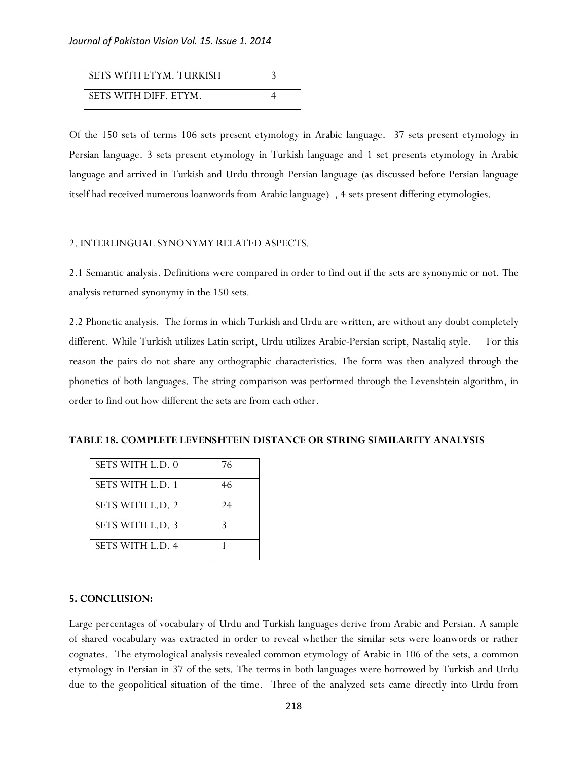| SETS WITH ETYM. TURKISH |  |
|-------------------------|--|
| SETS WITH DIFF. ETYM.   |  |

Of the 150 sets of terms 106 sets present etymology in Arabic language. 37 sets present etymology in Persian language. 3 sets present etymology in Turkish language and 1 set presents etymology in Arabic language and arrived in Turkish and Urdu through Persian language (as discussed before Persian language itself had received numerous loanwords from Arabic language) , 4 sets present differing etymologies.

#### 2. INTERLINGUAL SYNONYMY RELATED ASPECTS.

2.1 Semantic analysis. Definitions were compared in order to find out if the sets are synonymic or not. The analysis returned synonymy in the 150 sets.

2.2 Phonetic analysis. The forms in which Turkish and Urdu are written, are without any doubt completely different. While Turkish utilizes Latin script, Urdu utilizes Arabic-Persian script, Nastaliq style. For this reason the pairs do not share any orthographic characteristics. The form was then analyzed through the phonetics of both languages. The string comparison was performed through the Levenshtein algorithm, in order to find out how different the sets are from each other.

| TABLE 18. COMPLETE LEVENSHTEIN DISTANCE OR STRING SIMILARITY ANALYSIS |  |  |  |  |  |  |
|-----------------------------------------------------------------------|--|--|--|--|--|--|
|-----------------------------------------------------------------------|--|--|--|--|--|--|

| <b>SETS WITH L.D. 0</b> | 76 |
|-------------------------|----|
| SETS WITH L.D. 1        | 46 |
| SETS WITH L.D. 2        | 24 |
| <b>SETS WITH L.D. 3</b> | 3  |
| <b>SETS WITH L.D. 4</b> |    |

#### **5. CONCLUSION:**

Large percentages of vocabulary of Urdu and Turkish languages derive from Arabic and Persian. A sample of shared vocabulary was extracted in order to reveal whether the similar sets were loanwords or rather cognates. The etymological analysis revealed common etymology of Arabic in 106 of the sets, a common etymology in Persian in 37 of the sets. The terms in both languages were borrowed by Turkish and Urdu due to the geopolitical situation of the time. Three of the analyzed sets came directly into Urdu from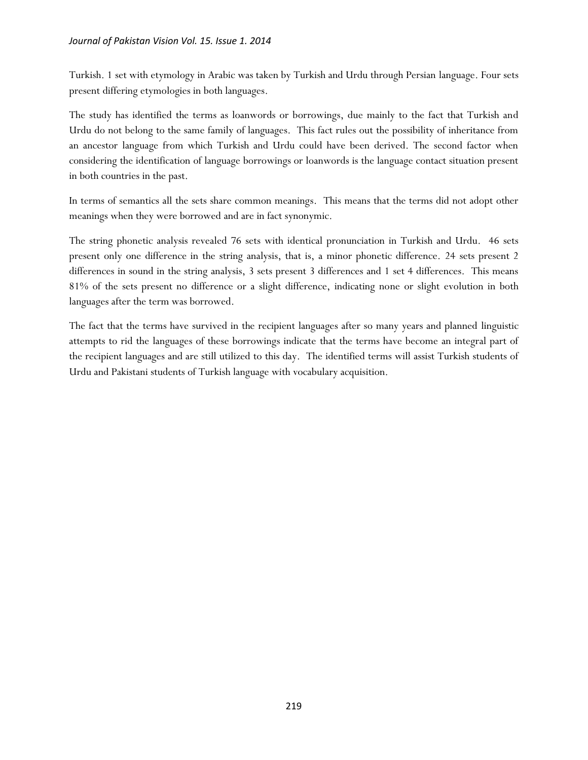Turkish. 1 set with etymology in Arabic was taken by Turkish and Urdu through Persian language. Four sets present differing etymologies in both languages.

The study has identified the terms as loanwords or borrowings, due mainly to the fact that Turkish and Urdu do not belong to the same family of languages. This fact rules out the possibility of inheritance from an ancestor language from which Turkish and Urdu could have been derived. The second factor when considering the identification of language borrowings or loanwords is the language contact situation present in both countries in the past.

In terms of semantics all the sets share common meanings. This means that the terms did not adopt other meanings when they were borrowed and are in fact synonymic.

The string phonetic analysis revealed 76 sets with identical pronunciation in Turkish and Urdu. 46 sets present only one difference in the string analysis, that is, a minor phonetic difference. 24 sets present 2 differences in sound in the string analysis, 3 sets present 3 differences and 1 set 4 differences. This means 81% of the sets present no difference or a slight difference, indicating none or slight evolution in both languages after the term was borrowed.

The fact that the terms have survived in the recipient languages after so many years and planned linguistic attempts to rid the languages of these borrowings indicate that the terms have become an integral part of the recipient languages and are still utilized to this day. The identified terms will assist Turkish students of Urdu and Pakistani students of Turkish language with vocabulary acquisition.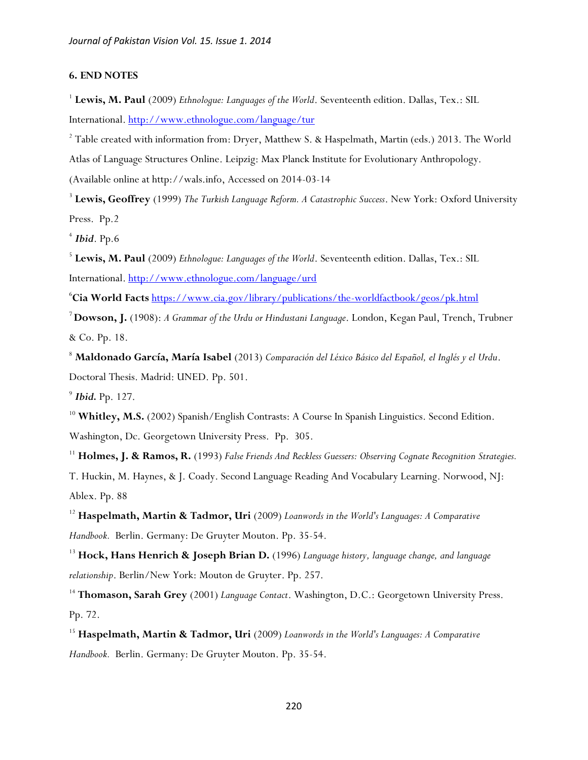#### **6. END NOTES**

<sup>1</sup> Lewis, M. Paul (2009) *Ethnologue: Languages of the World*. Seventeenth edition. Dallas, Tex.: SIL International[. http://www.ethnologue.com/language/tur](http://www.ethnologue.com/language/tur)

<sup>2</sup> Table created with information from: Dryer, Matthew S. & Haspelmath, Martin (eds.) 2013. The World

Atlas of Language Structures Online. Leipzig: Max Planck Institute for Evolutionary Anthropology.

(Available online at http://wals.info, Accessed on 2014-03-14

3 **Lewis, Geoffrey** (1999) *The Turkish Language Reform. A Catastrophic Success*. New York: Oxford University Press. Pp.2

4 *Ibid*. Pp.6

5 **Lewis, M. Paul** (2009) *Ethnologue: Languages of the World*. Seventeenth edition. Dallas, Tex.: SIL International. <http://www.ethnologue.com/language/urd>

<sup>6</sup>**Cia World Facts** <https://www.cia.gov/library/publications/the-worldfactbook/geos/pk.html>

<sup>7</sup>**Dowson, J.** (1908): *A Grammar of the Urdu or Hindustani Language*. London, Kegan Paul, Trench, Trubner & Co. Pp. 18.

<sup>8</sup> **Maldonado García, María Isabel** (2013) *Comparación del Léxico Básico del Español, el Inglés y el Urdu*. Doctoral Thesis. Madrid: UNED. Pp. 501.

9 *Ibid.* Pp. 127.

<sup>10</sup> Whitley, M.S. (2002) Spanish/English Contrasts: A Course In Spanish Linguistics. Second Edition.

Washington, Dc. Georgetown University Press. Pp. 305.

<sup>11</sup> **Holmes, J. & Ramos, R.** (1993) *False Friends And Reckless Guessers: Observing Cognate Recognition Strategies.* 

T. Huckin, M. Haynes, & J. Coady. Second Language Reading And Vocabulary Learning. Norwood, NJ: Ablex. Pp. 88

<sup>12</sup> **Haspelmath, Martin & Tadmor, Uri** (2009) *Loanwords in the World's Languages: A Comparative Handbook.* Berlin. Germany: De Gruyter Mouton. Pp. 35-54.

<sup>13</sup> **Hock, Hans Henrich & Joseph Brian D.** (1996) *Language history, language change, and language relationship*. Berlin/New York: Mouton de Gruyter. Pp. 257.

<sup>14</sup> Thomason, Sarah Grey (2001) *Language Contact*. Washington, D.C.: Georgetown University Press. Pp. 72.

<sup>15</sup> **Haspelmath, Martin & Tadmor, Uri** (2009) *Loanwords in the World's Languages: A Comparative Handbook.* Berlin. Germany: De Gruyter Mouton. Pp. 35-54.